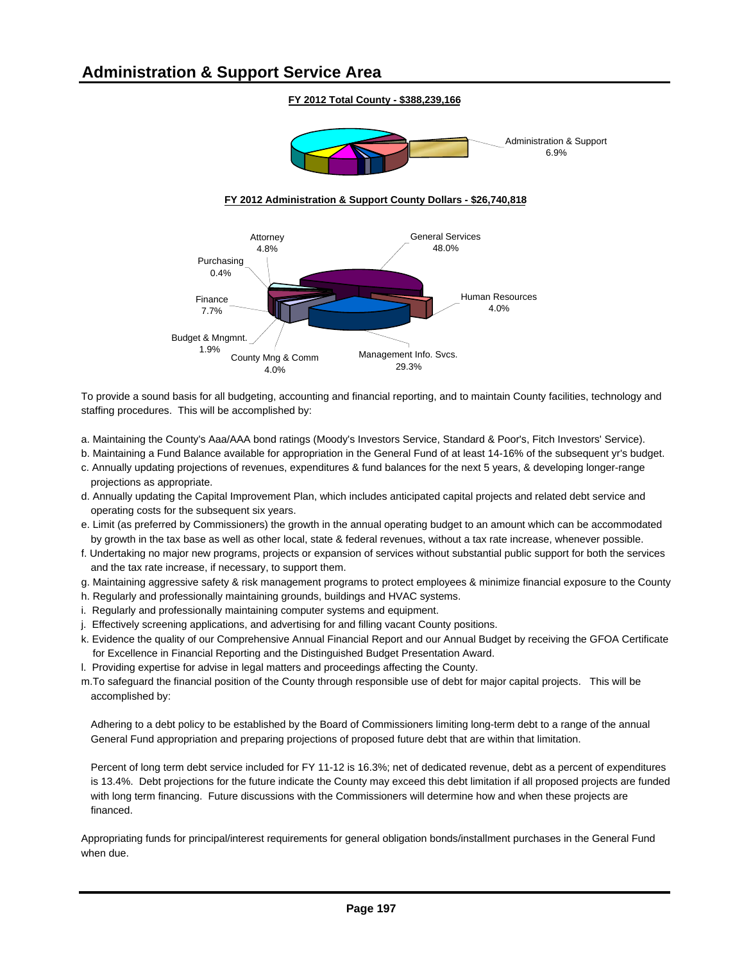#### **FY 2012 Total County - \$388,239,166**



#### **FY 2012 Administration & Support County Dollars - \$26,740,818**



To provide a sound basis for all budgeting, accounting and financial reporting, and to maintain County facilities, technology and staffing procedures. This will be accomplished by:

- a. Maintaining the County's Aaa/AAA bond ratings (Moody's Investors Service, Standard & Poor's, Fitch Investors' Service).
- b. Maintaining a Fund Balance available for appropriation in the General Fund of at least 14-16% of the subsequent yr's budget.
- c. Annually updating projections of revenues, expenditures & fund balances for the next 5 years, & developing longer-range projections as appropriate.
- d. Annually updating the Capital Improvement Plan, which includes anticipated capital projects and related debt service and operating costs for the subsequent six years.
- e. Limit (as preferred by Commissioners) the growth in the annual operating budget to an amount which can be accommodated by growth in the tax base as well as other local, state & federal revenues, without a tax rate increase, whenever possible.
- f. Undertaking no major new programs, projects or expansion of services without substantial public support for both the services and the tax rate increase, if necessary, to support them.
- g. Maintaining aggressive safety & risk management programs to protect employees & minimize financial exposure to the County
- h. Regularly and professionally maintaining grounds, buildings and HVAC systems.
- i. Regularly and professionally maintaining computer systems and equipment.
- j. Effectively screening applications, and advertising for and filling vacant County positions.
- k. Evidence the quality of our Comprehensive Annual Financial Report and our Annual Budget by receiving the GFOA Certificate for Excellence in Financial Reporting and the Distinguished Budget Presentation Award.
- l. Providing expertise for advise in legal matters and proceedings affecting the County.
- m.To safeguard the financial position of the County through responsible use of debt for major capital projects. This will be accomplished by:

Adhering to a debt policy to be established by the Board of Commissioners limiting long-term debt to a range of the annual General Fund appropriation and preparing projections of proposed future debt that are within that limitation.

Percent of long term debt service included for FY 11-12 is 16.3%; net of dedicated revenue, debt as a percent of expenditures is 13.4%. Debt projections for the future indicate the County may exceed this debt limitation if all proposed projects are funded with long term financing. Future discussions with the Commissioners will determine how and when these projects are financed.

Appropriating funds for principal/interest requirements for general obligation bonds/installment purchases in the General Fund when due.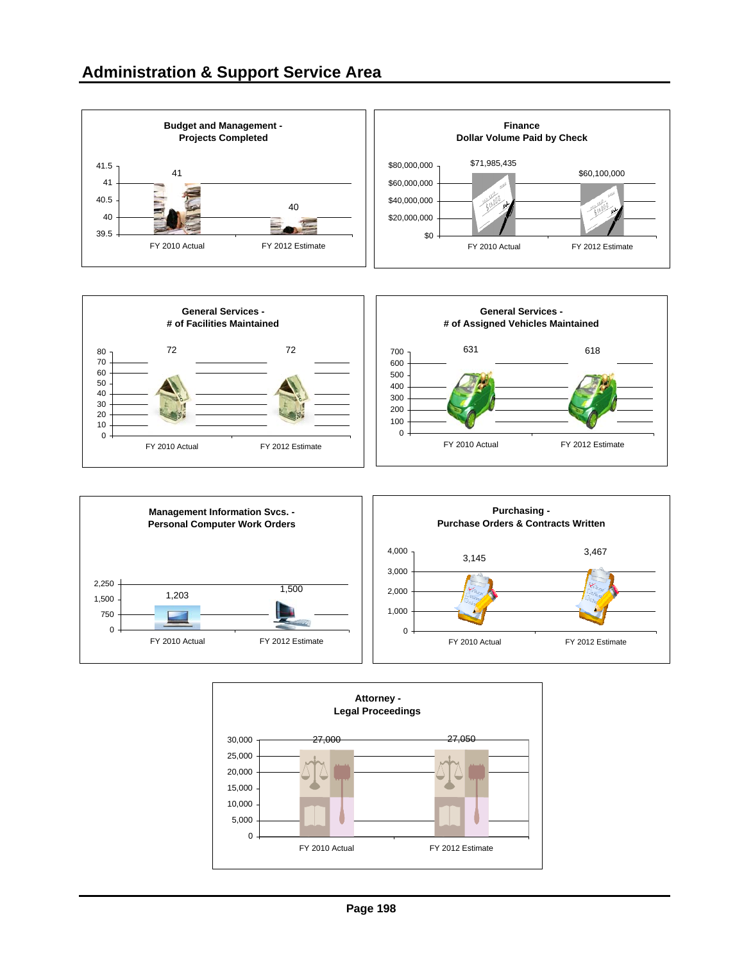





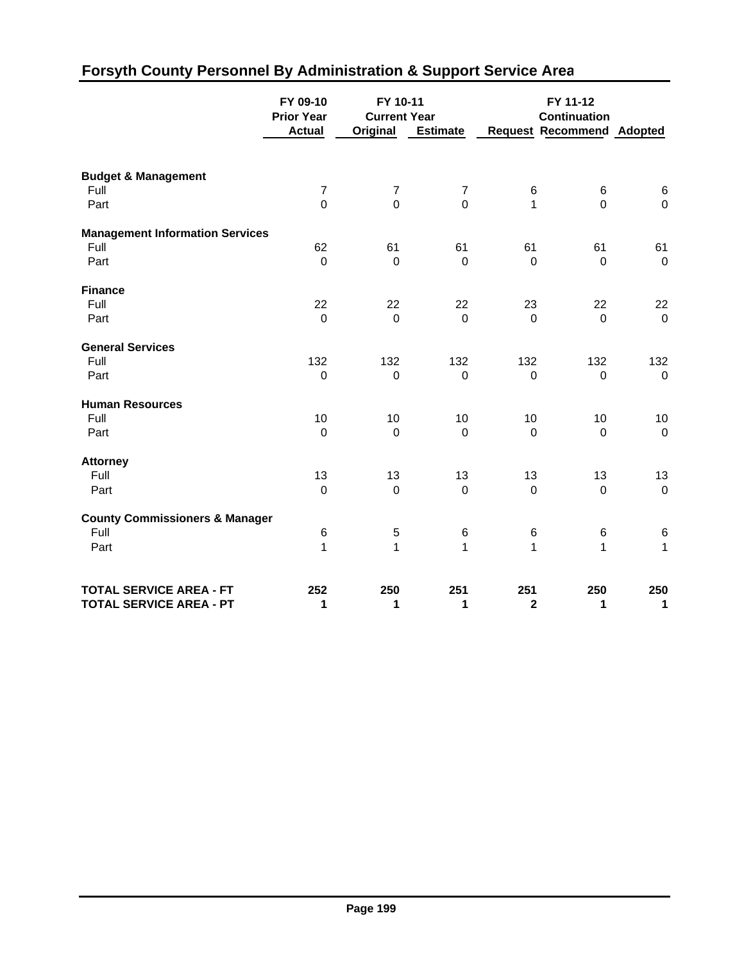|                                           | FY 09-10<br><b>Prior Year</b><br><b>Actual</b> | FY 10-11<br><b>Current Year</b><br>Original | <b>Estimate</b> |                  | FY 11-12<br><b>Continuation</b><br><b>Request Recommend Adopted</b> |                  |
|-------------------------------------------|------------------------------------------------|---------------------------------------------|-----------------|------------------|---------------------------------------------------------------------|------------------|
|                                           |                                                |                                             |                 |                  |                                                                     |                  |
| <b>Budget &amp; Management</b>            |                                                |                                             |                 |                  |                                                                     |                  |
| Full                                      | $\overline{7}$                                 | $\boldsymbol{7}$                            | $\overline{7}$  | 6                | $\,6$                                                               | $\,6$            |
| Part                                      | $\overline{0}$                                 | $\mathbf 0$                                 | $\overline{0}$  | $\mathbf{1}$     | $\overline{0}$                                                      | $\pmb{0}$        |
| <b>Management Information Services</b>    |                                                |                                             |                 |                  |                                                                     |                  |
| Full                                      | 62                                             | 61                                          | 61              | 61               | 61                                                                  | 61               |
| Part                                      | $\mathbf 0$                                    | $\mathbf 0$                                 | $\mathbf 0$     | $\mathbf 0$      | $\mathbf 0$                                                         | $\mathsf 0$      |
| <b>Finance</b>                            |                                                |                                             |                 |                  |                                                                     |                  |
| Full                                      | 22                                             | 22                                          | 22              | 23               | 22                                                                  | 22               |
| Part                                      | $\overline{0}$                                 | $\mathbf 0$                                 | $\mathbf 0$     | $\mathbf 0$      | $\mathbf 0$                                                         | $\mathbf 0$      |
| <b>General Services</b>                   |                                                |                                             |                 |                  |                                                                     |                  |
| Full                                      | 132                                            | 132                                         | 132             | 132              | 132                                                                 | 132              |
| Part                                      | $\pmb{0}$                                      | $\boldsymbol{0}$                            | $\mathbf 0$     | $\boldsymbol{0}$ | $\mathbf 0$                                                         | $\pmb{0}$        |
| <b>Human Resources</b>                    |                                                |                                             |                 |                  |                                                                     |                  |
| Full                                      | $10$                                           | 10                                          | 10              | 10               | 10                                                                  | $10$             |
| Part                                      | $\mathbf 0$                                    | $\boldsymbol{0}$                            | $\mathbf 0$     | $\overline{0}$   | $\mathbf 0$                                                         | $\pmb{0}$        |
| <b>Attorney</b>                           |                                                |                                             |                 |                  |                                                                     |                  |
| Full                                      | 13                                             | 13                                          | 13              | 13               | 13                                                                  | 13               |
| Part                                      | $\mathbf 0$                                    | $\boldsymbol{0}$                            | $\mathbf 0$     | $\mathbf 0$      | $\mathbf 0$                                                         | $\boldsymbol{0}$ |
| <b>County Commissioners &amp; Manager</b> |                                                |                                             |                 |                  |                                                                     |                  |
| Full                                      | 6                                              | 5                                           | 6               | 6                | 6                                                                   | $\,6$            |
| Part                                      | 1                                              | $\mathbf 1$                                 | $\mathbf{1}$    | $\mathbf{1}$     | $\mathbf{1}$                                                        | $\mathbf{1}$     |
| <b>TOTAL SERVICE AREA - FT</b>            | 252                                            | 250                                         | 251             | 251              | 250                                                                 | 250              |
| <b>TOTAL SERVICE AREA - PT</b>            | 1                                              | 1                                           | 1               | $\mathbf{2}$     | 1                                                                   | 1                |

# **Forsyth County Personnel By Administration & Support Service Area**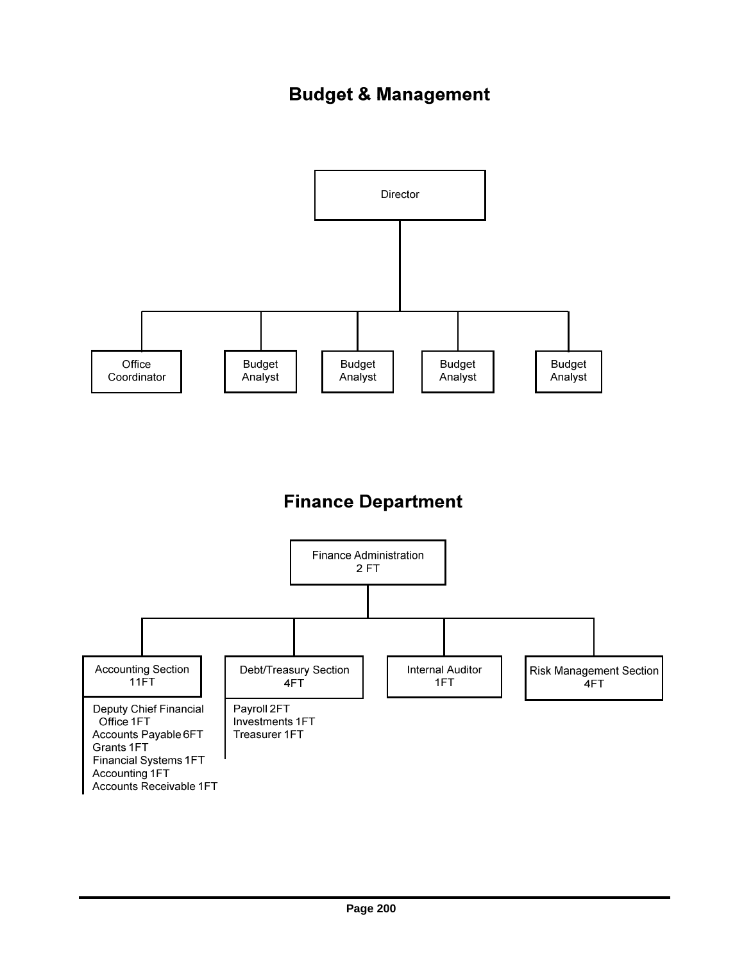## **Budget & Management**



## **Finance Department**

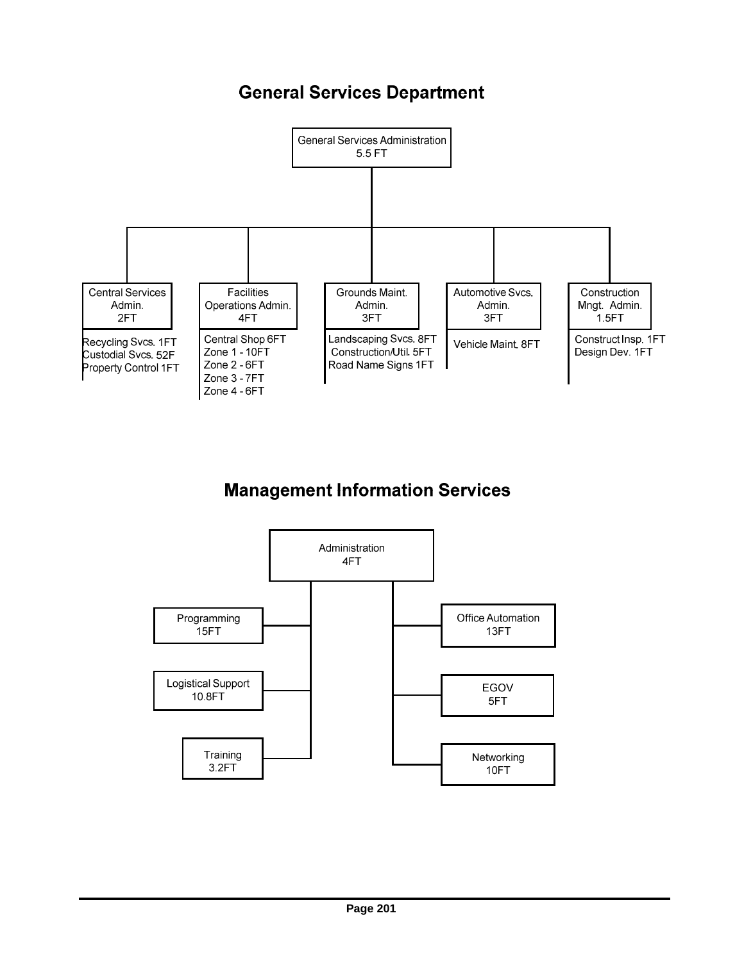## **General Services Department**



# **Management Information Services**

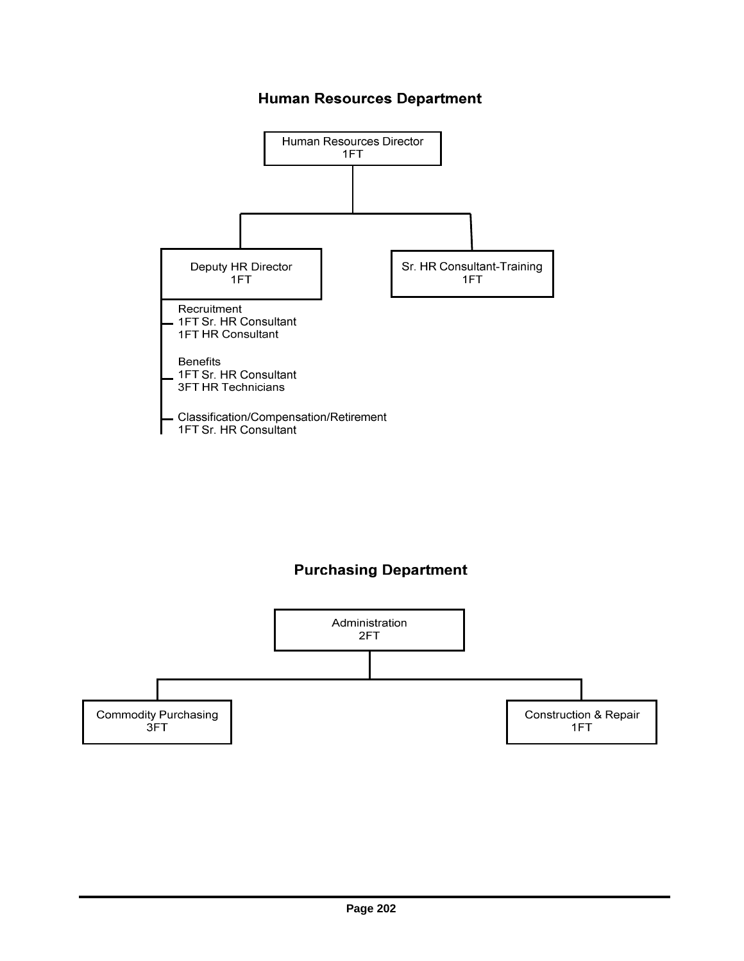### **Human Resources Department**



### **Purchasing Department**

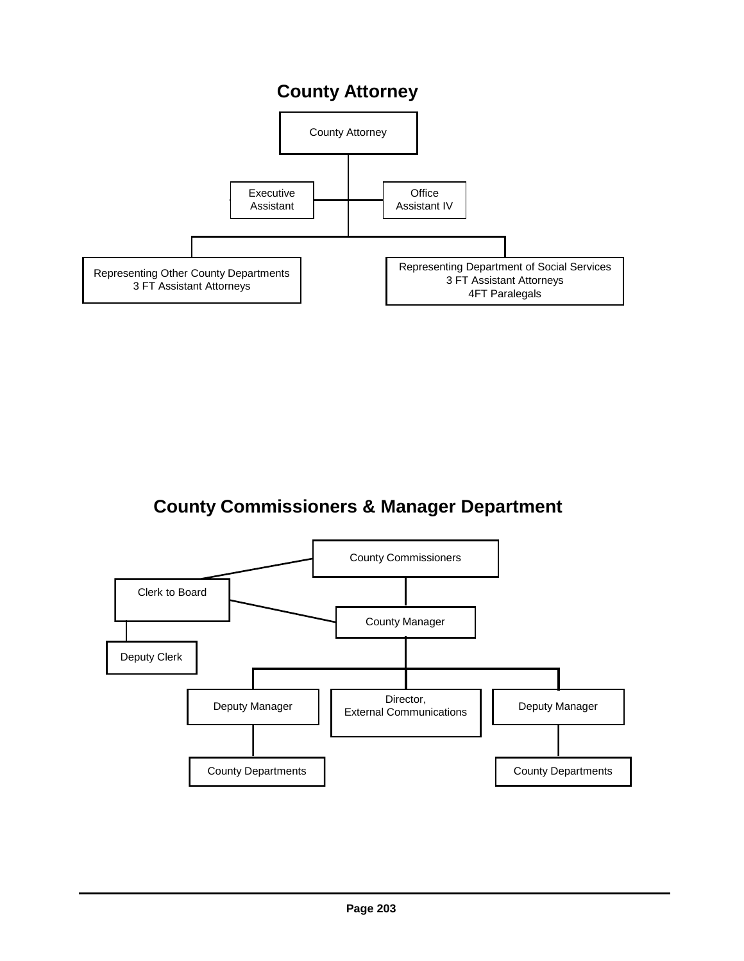## **County Attorney**



## **County Commissioners & Manager Department**

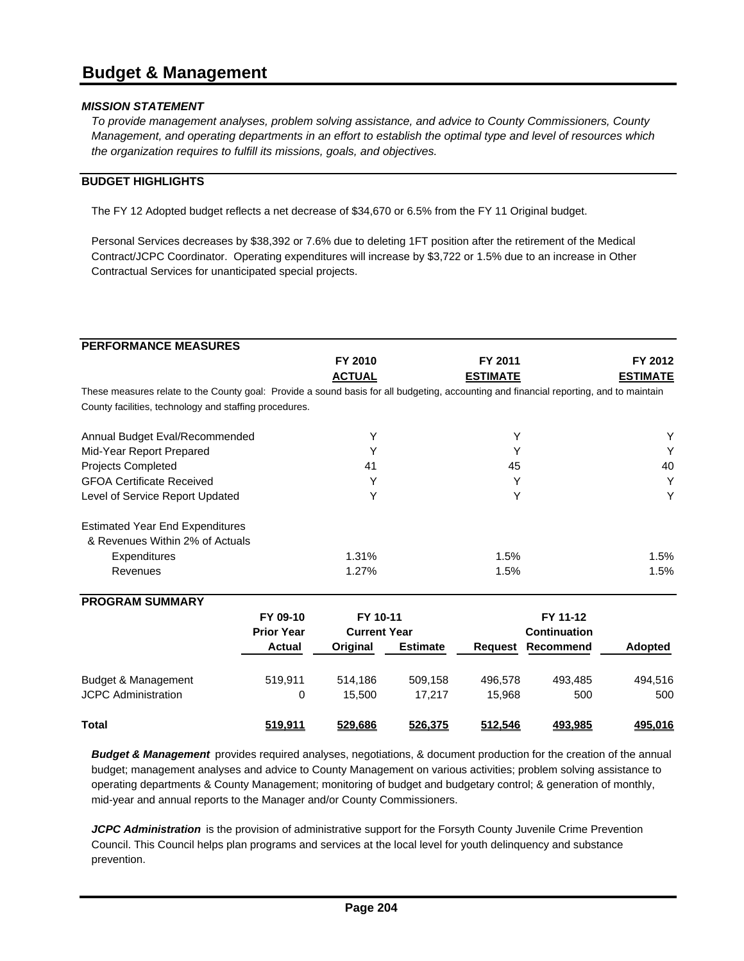### **Budget & Management**

#### *MISSION STATEMENT*

*To provide management analyses, problem solving assistance, and advice to County Commissioners, County Management, and operating departments in an effort to establish the optimal type and level of resources which the organization requires to fulfill its missions, goals, and objectives.*

#### **BUDGET HIGHLIGHTS**

The FY 12 Adopted budget reflects a net decrease of \$34,670 or 6.5% from the FY 11 Original budget.

Personal Services decreases by \$38,392 or 7.6% due to deleting 1FT position after the retirement of the Medical Contract/JCPC Coordinator. Operating expenditures will increase by \$3,722 or 1.5% due to an increase in Other Contractual Services for unanticipated special projects.

| <b>PERFORMANCE MEASURES</b>                                                                                                            |                   |                     |                 |                 |                          |                 |
|----------------------------------------------------------------------------------------------------------------------------------------|-------------------|---------------------|-----------------|-----------------|--------------------------|-----------------|
|                                                                                                                                        |                   | FY 2010             |                 | FY 2011         |                          | FY 2012         |
|                                                                                                                                        |                   | <b>ACTUAL</b>       |                 | <b>ESTIMATE</b> |                          | <b>ESTIMATE</b> |
| These measures relate to the County goal: Provide a sound basis for all budgeting, accounting and financial reporting, and to maintain |                   |                     |                 |                 |                          |                 |
| County facilities, technology and staffing procedures.                                                                                 |                   |                     |                 |                 |                          |                 |
| Annual Budget Eval/Recommended                                                                                                         |                   | Y                   |                 | Y               |                          | Y               |
| Mid-Year Report Prepared                                                                                                               |                   | Υ                   |                 | Υ               |                          | Υ               |
| <b>Projects Completed</b>                                                                                                              |                   | 41                  |                 | 45              |                          | 40              |
| <b>GFOA Certificate Received</b>                                                                                                       |                   | Υ                   |                 | Υ               |                          | Υ               |
| Level of Service Report Updated                                                                                                        |                   | Y                   |                 | Y               |                          | Υ               |
| <b>Estimated Year End Expenditures</b><br>& Revenues Within 2% of Actuals                                                              |                   |                     |                 |                 |                          |                 |
| Expenditures                                                                                                                           |                   | 1.31%               |                 | 1.5%            |                          | 1.5%            |
| Revenues                                                                                                                               |                   | 1.27%               |                 | 1.5%            |                          | 1.5%            |
|                                                                                                                                        |                   |                     |                 |                 |                          |                 |
| <b>PROGRAM SUMMARY</b>                                                                                                                 |                   |                     |                 |                 |                          |                 |
|                                                                                                                                        | FY 09-10          | FY 10-11            |                 |                 | FY 11-12                 |                 |
|                                                                                                                                        | <b>Prior Year</b> | <b>Current Year</b> |                 |                 | <b>Continuation</b>      |                 |
|                                                                                                                                        | <b>Actual</b>     | Original            | <b>Estimate</b> |                 | <b>Request Recommend</b> | Adopted         |
| Budget & Management                                                                                                                    | 519,911           | 514,186             | 509,158         | 496,578         | 493,485                  | 494,516         |
| <b>JCPC Administration</b>                                                                                                             | 0                 | 15,500              | 17,217          | 15,968          | 500                      | 500             |

*Budget & Management* provides required analyses, negotiations, & document production for the creation of the annual budget; management analyses and advice to County Management on various activities; problem solving assistance to operating departments & County Management; monitoring of budget and budgetary control; & generation of monthly, mid-year and annual reports to the Manager and/or County Commissioners.

**Total 519,911 529,686 526,375 512,546 493,985 495,016**

*JCPC Administration* is the provision of administrative support for the Forsyth County Juvenile Crime Prevention Council. This Council helps plan programs and services at the local level for youth delinquency and substance prevention.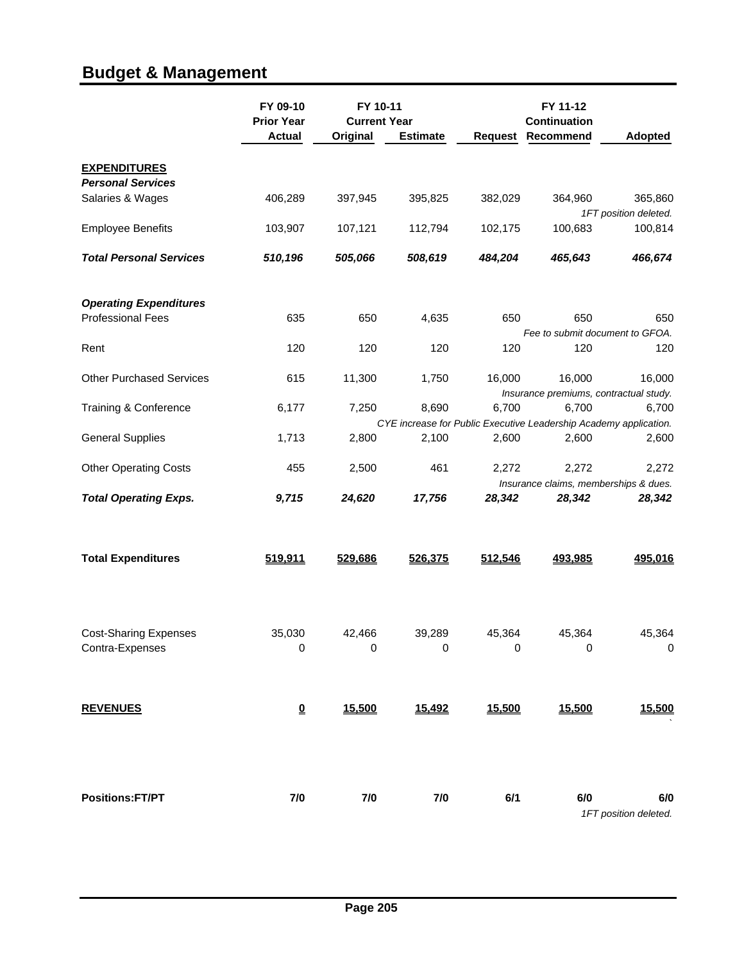# **Budget & Management**

|                                                           | FY 09-10<br><b>Prior Year</b><br><b>Actual</b> | FY 10-11<br><b>Current Year</b><br>Original | <b>Estimate</b>     | Request     | FY 11-12<br><b>Continuation</b><br>Recommend | <b>Adopted</b>                                                             |
|-----------------------------------------------------------|------------------------------------------------|---------------------------------------------|---------------------|-------------|----------------------------------------------|----------------------------------------------------------------------------|
| <b>EXPENDITURES</b><br><b>Personal Services</b>           |                                                |                                             |                     |             |                                              |                                                                            |
| Salaries & Wages                                          | 406,289                                        | 397,945                                     | 395,825             | 382,029     | 364,960                                      | 365,860<br>1FT position deleted.                                           |
| <b>Employee Benefits</b>                                  | 103,907                                        | 107,121                                     | 112,794             | 102,175     | 100,683                                      | 100,814                                                                    |
| <b>Total Personal Services</b>                            | 510,196                                        | 505,066                                     | 508,619             | 484,204     | 465,643                                      | 466,674                                                                    |
| <b>Operating Expenditures</b><br><b>Professional Fees</b> | 635                                            | 650                                         | 4,635               | 650         | 650                                          | 650                                                                        |
| Rent                                                      | 120                                            | 120                                         | 120                 | 120         | 120                                          | Fee to submit document to GFOA.<br>120                                     |
|                                                           |                                                |                                             |                     |             |                                              |                                                                            |
| <b>Other Purchased Services</b>                           | 615                                            | 11,300                                      | 1,750               | 16,000      | 16,000                                       | 16,000<br>Insurance premiums, contractual study.                           |
| Training & Conference                                     | 6,177                                          | 7,250                                       | 8,690               | 6,700       | 6,700                                        | 6,700                                                                      |
| <b>General Supplies</b>                                   | 1,713                                          | 2,800                                       | 2,100               | 2,600       | 2,600                                        | CYE increase for Public Executive Leadership Academy application.<br>2,600 |
| <b>Other Operating Costs</b>                              | 455                                            | 2,500                                       | 461                 | 2,272       | 2,272                                        | 2,272                                                                      |
| <b>Total Operating Exps.</b>                              | 9,715                                          | 24,620                                      | 17,756              | 28,342      | 28,342                                       | Insurance claims, memberships & dues.<br>28,342                            |
| <b>Total Expenditures</b>                                 | 519,911                                        | 529,686                                     | 526,375             | 512,546     | 493,985                                      | 495,016                                                                    |
| <b>Cost-Sharing Expenses</b><br>Contra-Expenses           | 35,030<br>0                                    | 42,466<br>0                                 | 39,289<br>$\pmb{0}$ | 45,364<br>0 | 45,364<br>0                                  | 45,364<br>$\boldsymbol{0}$                                                 |
|                                                           |                                                |                                             |                     |             |                                              |                                                                            |
| <b>REVENUES</b>                                           | $\underline{\mathbf{0}}$                       | 15,500                                      | 15,492              | 15,500      | 15,500                                       | 15,500                                                                     |
| <b>Positions:FT/PT</b>                                    | 7/0                                            | 7/0                                         | 7/0                 | 6/1         | 6/0                                          | 6/0<br>1FT position deleted.                                               |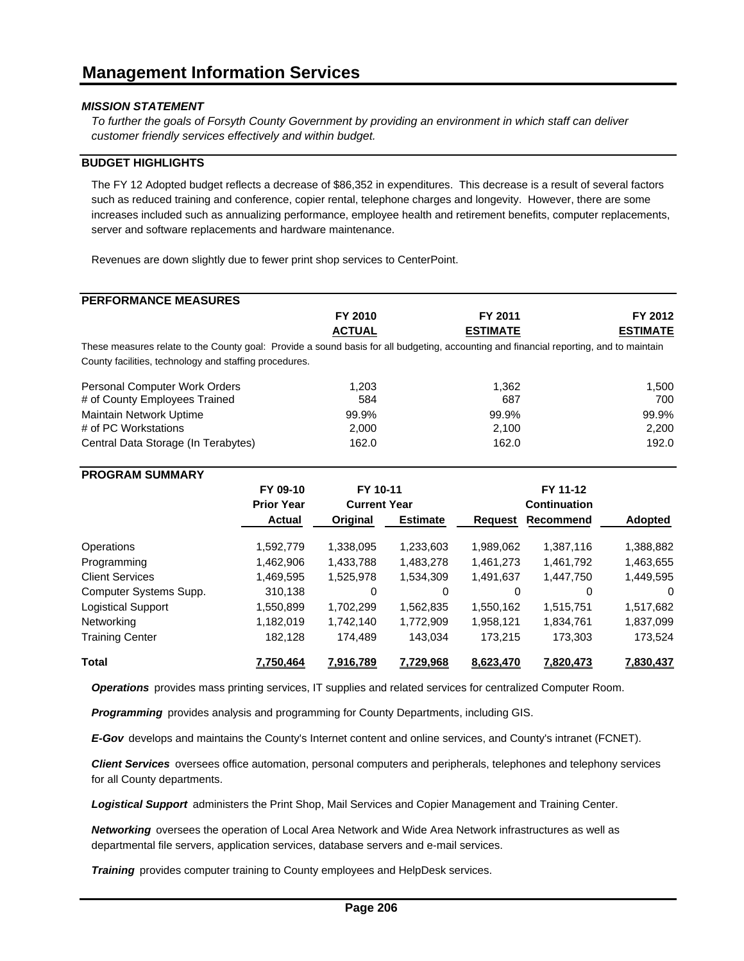*To further the goals of Forsyth County Government by providing an environment in which staff can deliver customer friendly services effectively and within budget.*

#### **BUDGET HIGHLIGHTS**

The FY 12 Adopted budget reflects a decrease of \$86,352 in expenditures. This decrease is a result of several factors such as reduced training and conference, copier rental, telephone charges and longevity. However, there are some increases included such as annualizing performance, employee health and retirement benefits, computer replacements, server and software replacements and hardware maintenance.

Revenues are down slightly due to fewer print shop services to CenterPoint.

### **PERFORMANCE MEASURES**

| FY 2011<br>FY 2012                                                                                                                     |
|----------------------------------------------------------------------------------------------------------------------------------------|
|                                                                                                                                        |
| <b>ESTIMATE</b><br><b>ESTIMATE</b>                                                                                                     |
| These measures relate to the County goal: Provide a sound basis for all budgeting, accounting and financial reporting, and to maintain |
|                                                                                                                                        |
| 1.362<br>1.500                                                                                                                         |
| 700<br>687                                                                                                                             |
| 99.9%<br>99.9%                                                                                                                         |
| 2,200<br>2,100                                                                                                                         |
| 162.0<br>192.0                                                                                                                         |
|                                                                                                                                        |

#### **PROGRAM SUMMARY**

|                           | FY 09-10<br><b>Prior Year</b> | FY 10-11<br><b>Current Year</b> |                 |                | FY 11-12<br><b>Continuation</b> |           |
|---------------------------|-------------------------------|---------------------------------|-----------------|----------------|---------------------------------|-----------|
|                           | Actual                        | Original                        | <b>Estimate</b> | <b>Request</b> | Recommend                       | Adopted   |
| Operations                | 1,592,779                     | 1,338,095                       | 1,233,603       | 1,989,062      | 1,387,116                       | 1,388,882 |
| Programming               | 1.462.906                     | 1,433,788                       | 1.483.278       | 1,461,273      | 1.461.792                       | 1,463,655 |
| <b>Client Services</b>    | 1,469,595                     | 1,525,978                       | 1.534.309       | 1,491,637      | 1,447,750                       | 1,449,595 |
| Computer Systems Supp.    | 310,138                       | 0                               | 0               | $\Omega$       | 0                               | $\Omega$  |
| <b>Logistical Support</b> | 1,550,899                     | 1,702,299                       | 1.562.835       | 1.550.162      | 1,515,751                       | 1,517,682 |
| Networking                | 1,182,019                     | 1,742,140                       | 1,772,909       | 1,958,121      | 1,834,761                       | 1,837,099 |
| <b>Training Center</b>    | 182.128                       | 174.489                         | 143.034         | 173.215        | 173.303                         | 173,524   |
| <b>Total</b>              | 7,750,464                     | 7,916,789                       | 7,729,968       | 8,623,470      | 7,820,473                       | 7,830,437 |

*Operations* provides mass printing services, IT supplies and related services for centralized Computer Room.

*Programming* provides analysis and programming for County Departments, including GIS.

*E-Gov* develops and maintains the County's Internet content and online services, and County's intranet (FCNET).

*Client Services* oversees office automation, personal computers and peripherals, telephones and telephony services for all County departments.

*Logistical Support* administers the Print Shop, Mail Services and Copier Management and Training Center.

*Networking* oversees the operation of Local Area Network and Wide Area Network infrastructures as well as departmental file servers, application services, database servers and e-mail services.

*Training* provides computer training to County employees and HelpDesk services.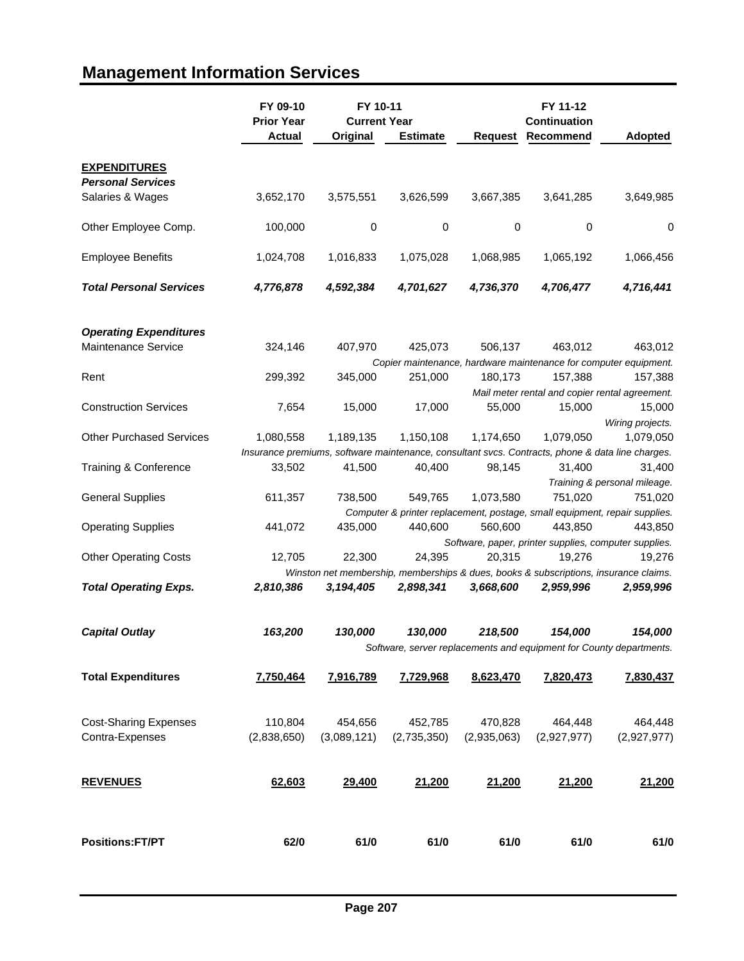## **FY 09-10 FY 11-12 FY 10-11 Prior Year Current Year Continuation Actual Original Estimate Request Recommend Adopted EXPENDITURES** *Personal Services* Salaries & Wages 3,652,170 3,575,551 3,626,599 3,667,385 3,641,285 3,649,985 Other Employee Comp. 100,000 0000 0 Employee Benefits 1,024,708 1,016,833 1,075,028 1,068,985 1,065,192 1,066,456 *Total Personal Services 4,776,878 4,592,384 4,701,627 4,736,370 4,706,477 4,716,441 Operating Expenditures* Maintenance Service 324,146 407,970 425,073 506,137 463,012 463,012 *Copier maintenance, hardware maintenance for computer equipment.* Rent 299,392 345,000 251,000 180,173 157,388 157,388 *Mail meter rental and copier rental agreement.* Construction Services 7,654 15,000 17,000 55,000 15,000 15,000 *Wiring projects.* Other Purchased Services 1,080,558 1,189,135 1,150,108 1,174,650 1,079,050 1,079,050 *Insurance premiums, software maintenance, consultant svcs. Contracts, phone & data line charges.* Training & Conference 33,502 41,500 40,400 98,145 31,400 31,400 *Training & personal mileage.* General Supplies 611,357 738,500 549,765 1,073,580 751,020 751,020 *Computer & printer replacement, postage, small equipment, repair supplies.* Operating Supplies 441,072 435,000 440,600 560,600 443,850 443,850 *Software, paper, printer supplies, computer supplies.* Other Operating Costs 12,705 22,300 24,395 20,315 19,276 19,276 *Winston net membership, memberships & dues, books & subscriptions, insurance claims. Total Operating Exps. 2,810,386 3,194,405 2,898,341 3,668,600 2,959,996 2,959,996 Capital Outlay 163,200 130,000 130,000 218,500 154,000 154,000 Software, server replacements and equipment for County departments.* **Total Expenditures 7,750,464 7,916,789 7,729,968 8,623,470 7,820,473 7,830,437** Cost-Sharing Expenses 110,804 454,656 452,785 470,828 464,448 464,448 Contra-Expenses (2,838,650) (3,089,121) (2,735,350) (2,935,063) (2,927,977) (2,927,977) **REVENUES 62,603 29,400 21,200 21,200 21,200 21,200 Positions:FT/PT 62/0 61/0 61/0 61/0 61/0 61/0**

### **Management Information Services**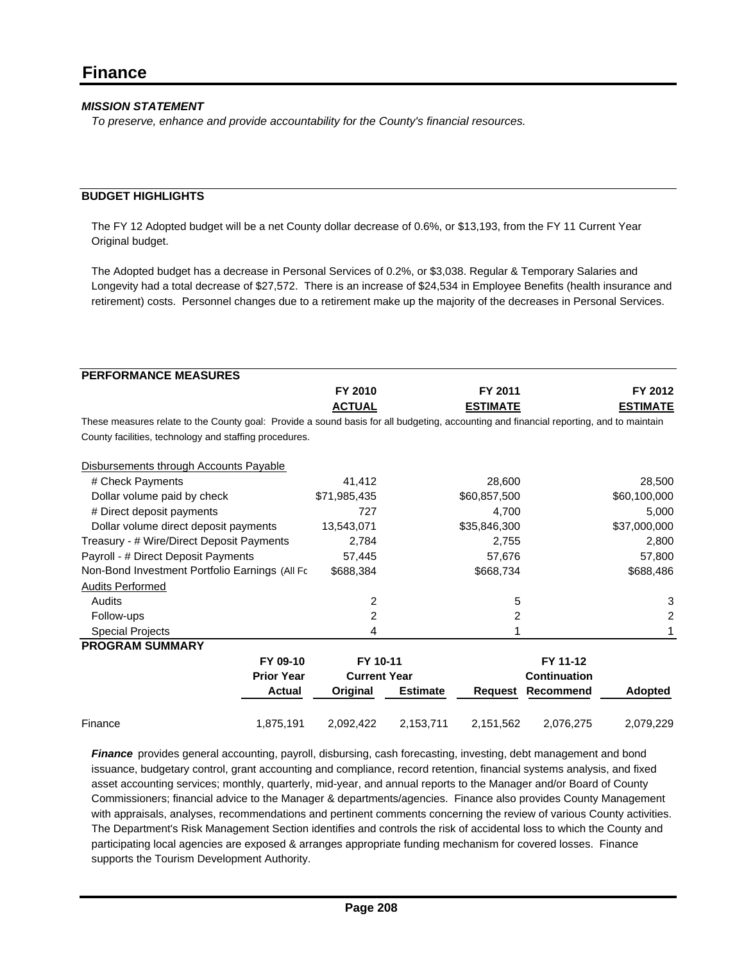*To preserve, enhance and provide accountability for the County's financial resources.*

#### **BUDGET HIGHLIGHTS**

The FY 12 Adopted budget will be a net County dollar decrease of 0.6%, or \$13,193, from the FY 11 Current Year Original budget.

The Adopted budget has a decrease in Personal Services of 0.2%, or \$3,038. Regular & Temporary Salaries and Longevity had a total decrease of \$27,572. There is an increase of \$24,534 in Employee Benefits (health insurance and retirement) costs. Personnel changes due to a retirement make up the majority of the decreases in Personal Services.

| <b>PERFORMANCE MEASURES</b>                                                                                                            |                   |                     |                 |                 |                     |                 |
|----------------------------------------------------------------------------------------------------------------------------------------|-------------------|---------------------|-----------------|-----------------|---------------------|-----------------|
|                                                                                                                                        |                   | FY 2010             |                 | FY 2011         |                     | FY 2012         |
|                                                                                                                                        |                   | <b>ACTUAL</b>       |                 | <b>ESTIMATE</b> |                     | <b>ESTIMATE</b> |
| These measures relate to the County goal: Provide a sound basis for all budgeting, accounting and financial reporting, and to maintain |                   |                     |                 |                 |                     |                 |
| County facilities, technology and staffing procedures.                                                                                 |                   |                     |                 |                 |                     |                 |
| Disbursements through Accounts Payable                                                                                                 |                   |                     |                 |                 |                     |                 |
| # Check Payments                                                                                                                       |                   | 41,412              |                 | 28,600          |                     | 28,500          |
| Dollar volume paid by check                                                                                                            |                   | \$71,985,435        |                 | \$60,857,500    |                     | \$60,100,000    |
| # Direct deposit payments                                                                                                              |                   | 727                 |                 | 4,700           |                     | 5,000           |
| Dollar volume direct deposit payments                                                                                                  |                   | 13,543,071          |                 | \$35,846,300    |                     | \$37,000,000    |
| Treasury - # Wire/Direct Deposit Payments                                                                                              |                   | 2,784               |                 | 2,755           |                     | 2,800           |
| Payroll - # Direct Deposit Payments                                                                                                    |                   | 57,445              |                 | 57,676          |                     | 57,800          |
| Non-Bond Investment Portfolio Earnings (All Fc                                                                                         |                   | \$688,384           |                 | \$668,734       |                     | \$688,486       |
| <b>Audits Performed</b>                                                                                                                |                   |                     |                 |                 |                     |                 |
| Audits                                                                                                                                 |                   | 2                   |                 | 5               |                     | 3               |
| Follow-ups                                                                                                                             |                   | 2                   |                 | 2               |                     | 2               |
| <b>Special Projects</b>                                                                                                                |                   | 4                   |                 |                 |                     |                 |
| <b>PROGRAM SUMMARY</b>                                                                                                                 |                   |                     |                 |                 |                     |                 |
|                                                                                                                                        | FY 09-10          | FY 10-11            |                 |                 | FY 11-12            |                 |
|                                                                                                                                        | <b>Prior Year</b> | <b>Current Year</b> |                 |                 | <b>Continuation</b> |                 |
|                                                                                                                                        | <b>Actual</b>     | Original            | <b>Estimate</b> | Reguest         | Recommend           | Adopted         |
| Finance                                                                                                                                | 1,875,191         | 2,092,422           | 2,153,711       | 2,151,562       | 2,076,275           | 2,079,229       |

*Finance* provides general accounting, payroll, disbursing, cash forecasting, investing, debt management and bond issuance, budgetary control, grant accounting and compliance, record retention, financial systems analysis, and fixed asset accounting services; monthly, quarterly, mid-year, and annual reports to the Manager and/or Board of County Commissioners; financial advice to the Manager & departments/agencies. Finance also provides County Management with appraisals, analyses, recommendations and pertinent comments concerning the review of various County activities. The Department's Risk Management Section identifies and controls the risk of accidental loss to which the County and participating local agencies are exposed & arranges appropriate funding mechanism for covered losses. Finance supports the Tourism Development Authority.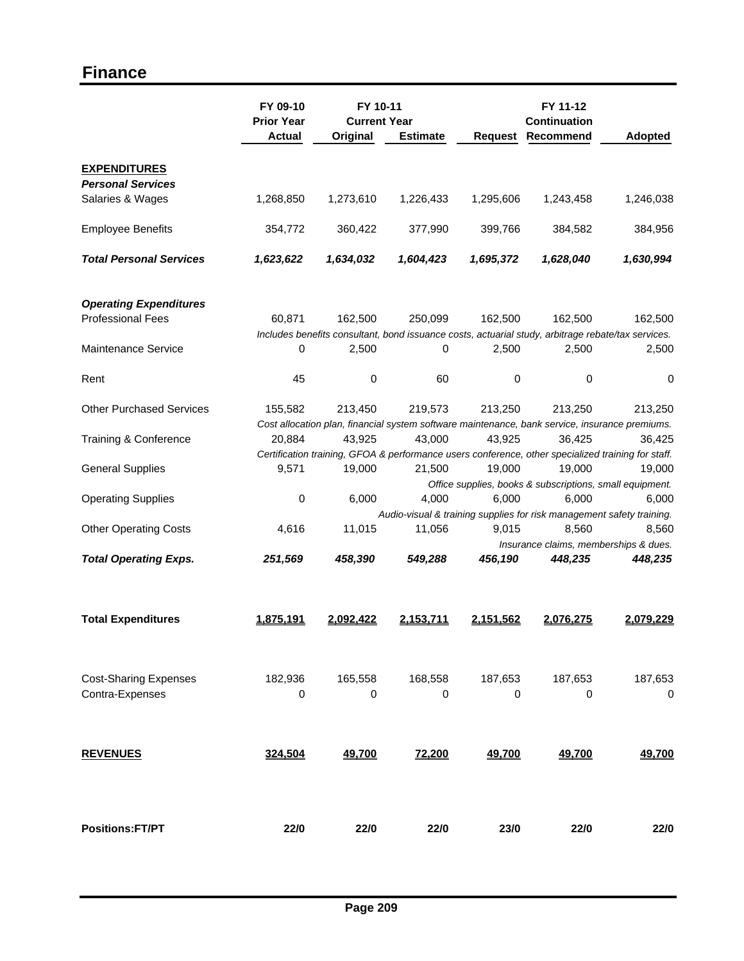### **Finance**

|                                                 | FY 09-10<br><b>Prior Year</b> | FY 10-11<br><b>Current Year</b> |                 |                | FY 11-12<br><b>Continuation</b> |                                                                                                    |
|-------------------------------------------------|-------------------------------|---------------------------------|-----------------|----------------|---------------------------------|----------------------------------------------------------------------------------------------------|
|                                                 | <b>Actual</b>                 | Original                        | <b>Estimate</b> | <b>Request</b> | Recommend                       | <b>Adopted</b>                                                                                     |
| <b>EXPENDITURES</b><br><b>Personal Services</b> |                               |                                 |                 |                |                                 |                                                                                                    |
| Salaries & Wages                                | 1,268,850                     | 1,273,610                       | 1,226,433       | 1,295,606      | 1,243,458                       | 1,246,038                                                                                          |
| <b>Employee Benefits</b>                        | 354,772                       | 360,422                         | 377,990         | 399,766        | 384,582                         | 384,956                                                                                            |
| <b>Total Personal Services</b>                  | 1,623,622                     | 1,634,032                       | 1,604,423       | 1,695,372      | 1,628,040                       | 1,630,994                                                                                          |
| <b>Operating Expenditures</b>                   |                               |                                 |                 |                |                                 |                                                                                                    |
| <b>Professional Fees</b>                        | 60,871                        | 162,500                         | 250,099         | 162,500        | 162,500                         | 162,500                                                                                            |
|                                                 |                               |                                 |                 |                |                                 | Includes benefits consultant, bond issuance costs, actuarial study, arbitrage rebate/tax services. |
| <b>Maintenance Service</b>                      | 0                             | 2,500                           | 0               | 2,500          | 2,500                           | 2,500                                                                                              |
| Rent                                            | 45                            | 0                               | 60              | 0              | 0                               | 0                                                                                                  |
| <b>Other Purchased Services</b>                 | 155,582                       | 213,450                         | 219,573         | 213,250        | 213,250                         | 213,250                                                                                            |
|                                                 |                               |                                 |                 |                |                                 | Cost allocation plan, financial system software maintenance, bank service, insurance premiums.     |
| Training & Conference                           | 20,884                        | 43,925                          | 43,000          | 43,925         | 36,425                          | 36,425                                                                                             |
|                                                 |                               |                                 |                 |                |                                 | Certification training, GFOA & performance users conference, other specialized training for staff. |
| <b>General Supplies</b>                         | 9,571                         | 19,000                          | 21,500          | 19,000         | 19,000                          | 19,000                                                                                             |
|                                                 | $\pmb{0}$                     | 6,000                           | 4,000           | 6,000          | 6,000                           | Office supplies, books & subscriptions, small equipment.<br>6,000                                  |
| <b>Operating Supplies</b>                       |                               |                                 |                 |                |                                 | Audio-visual & training supplies for risk management safety training.                              |
| <b>Other Operating Costs</b>                    | 4,616                         | 11,015                          | 11,056          | 9,015          | 8,560                           | 8,560                                                                                              |
| <b>Total Operating Exps.</b>                    | 251,569                       | 458,390                         | 549,288         | 456,190        | 448,235                         | Insurance claims, memberships & dues.<br>448,235                                                   |
| <b>Total Expenditures</b>                       | 1.875.191                     | 2.092.422                       | 2,153,711       | 2,151,562      | 2.076.275                       | <u>2.079.229</u>                                                                                   |
|                                                 |                               |                                 |                 |                |                                 |                                                                                                    |
| <b>Cost-Sharing Expenses</b>                    | 182,936                       | 165,558                         | 168,558         | 187,653        | 187,653                         | 187,653                                                                                            |
| Contra-Expenses                                 | 0                             | 0                               | 0               | 0              | 0                               | 0                                                                                                  |
|                                                 |                               |                                 |                 |                |                                 |                                                                                                    |
| <b>REVENUES</b>                                 | 324,504                       | 49,700                          | 72,200          | 49,700         | 49,700                          | 49,700                                                                                             |
|                                                 |                               |                                 |                 |                |                                 |                                                                                                    |
| <b>Positions:FT/PT</b>                          | 22/0                          | 22/0                            | 22/0            | 23/0           | 22/0                            | 22/0                                                                                               |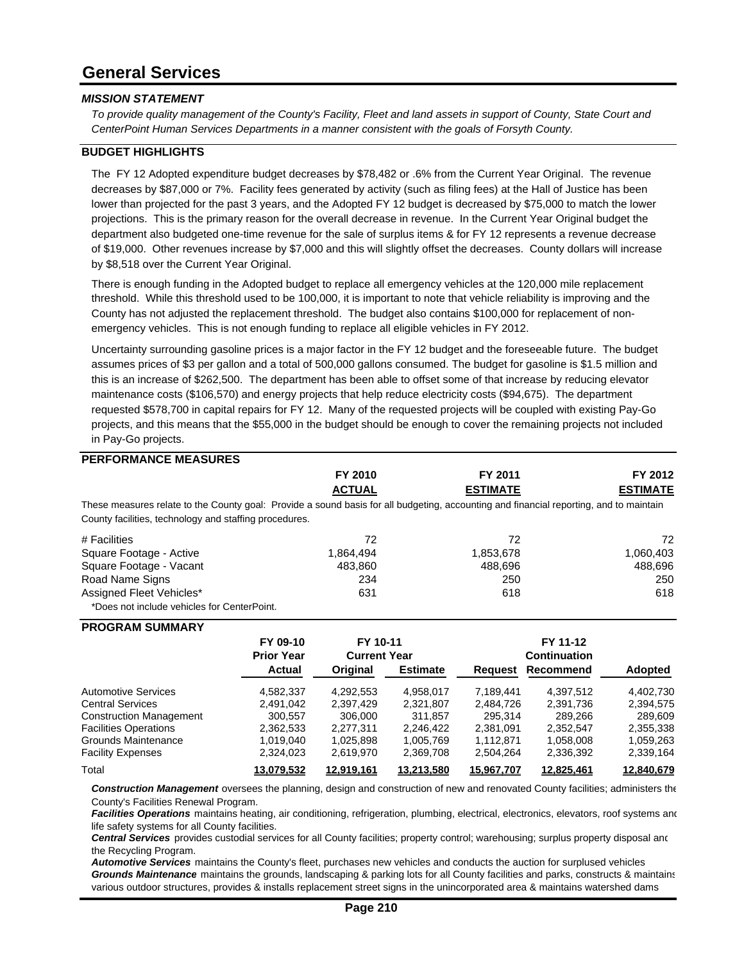### **General Services**

#### *MISSION STATEMENT*

*To provide quality management of the County's Facility, Fleet and land assets in support of County, State Court and CenterPoint Human Services Departments in a manner consistent with the goals of Forsyth County.*

#### **BUDGET HIGHLIGHTS**

The FY 12 Adopted expenditure budget decreases by \$78,482 or .6% from the Current Year Original. The revenue decreases by \$87,000 or 7%. Facility fees generated by activity (such as filing fees) at the Hall of Justice has been lower than projected for the past 3 years, and the Adopted FY 12 budget is decreased by \$75,000 to match the lower projections. This is the primary reason for the overall decrease in revenue. In the Current Year Original budget the department also budgeted one-time revenue for the sale of surplus items & for FY 12 represents a revenue decrease of \$19,000. Other revenues increase by \$7,000 and this will slightly offset the decreases. County dollars will increase by \$8,518 over the Current Year Original.

There is enough funding in the Adopted budget to replace all emergency vehicles at the 120,000 mile replacement threshold. While this threshold used to be 100,000, it is important to note that vehicle reliability is improving and the County has not adjusted the replacement threshold. The budget also contains \$100,000 for replacement of nonemergency vehicles. This is not enough funding to replace all eligible vehicles in FY 2012.

Uncertainty surrounding gasoline prices is a major factor in the FY 12 budget and the foreseeable future. The budget assumes prices of \$3 per gallon and a total of 500,000 gallons consumed. The budget for gasoline is \$1.5 million and this is an increase of \$262,500. The department has been able to offset some of that increase by reducing elevator maintenance costs (\$106,570) and energy projects that help reduce electricity costs (\$94,675). The department requested \$578,700 in capital repairs for FY 12. Many of the requested projects will be coupled with existing Pay-Go projects, and this means that the \$55,000 in the budget should be enough to cover the remaining projects not included in Pay-Go projects.

#### **PERFORMANCE MEASURES**

|                                                                                                                                                                                                  |                   | FY 2010             |                 | FY 2011         |                     | FY 2012         |
|--------------------------------------------------------------------------------------------------------------------------------------------------------------------------------------------------|-------------------|---------------------|-----------------|-----------------|---------------------|-----------------|
|                                                                                                                                                                                                  |                   | <b>ACTUAL</b>       |                 | <b>ESTIMATE</b> |                     | <b>ESTIMATE</b> |
| These measures relate to the County goal: Provide a sound basis for all budgeting, accounting and financial reporting, and to maintain<br>County facilities, technology and staffing procedures. |                   |                     |                 |                 |                     |                 |
| # Facilities                                                                                                                                                                                     |                   | 72                  |                 | 72              |                     | 72              |
| Square Footage - Active                                                                                                                                                                          |                   | 1,864,494           |                 | 1,853,678       |                     | 1,060,403       |
| Square Footage - Vacant                                                                                                                                                                          |                   | 483,860             |                 | 488,696         |                     | 488,696         |
| Road Name Signs                                                                                                                                                                                  |                   | 234                 |                 | 250             |                     | 250             |
| Assigned Fleet Vehicles*                                                                                                                                                                         |                   | 631                 |                 | 618             |                     | 618             |
| *Does not include vehicles for CenterPoint.                                                                                                                                                      |                   |                     |                 |                 |                     |                 |
| <b>PROGRAM SUMMARY</b>                                                                                                                                                                           |                   |                     |                 |                 |                     |                 |
|                                                                                                                                                                                                  | FY 09-10          | FY 10-11            |                 |                 | FY 11-12            |                 |
|                                                                                                                                                                                                  | <b>Prior Year</b> | <b>Current Year</b> |                 |                 | <b>Continuation</b> |                 |
|                                                                                                                                                                                                  | Actual            | Original            | <b>Estimate</b> | <b>Request</b>  | Recommend           | <b>Adopted</b>  |
| <b>Automotive Services</b>                                                                                                                                                                       | 4,582,337         | 4,292,553           | 4,958,017       | 7,189,441       | 4,397,512           | 4,402,730       |
| <b>Central Services</b>                                                                                                                                                                          | 2,491,042         | 2,397,429           | 2,321,807       | 2,484,726       | 2,391,736           | 2,394,575       |
| <b>Construction Management</b>                                                                                                                                                                   | 300,557           | 306,000             | 311,857         | 295,314         | 289,266             | 289,609         |
| <b>Facilities Operations</b>                                                                                                                                                                     | 2,362,533         | 2,277,311           | 2,246,422       | 2,381,091       | 2,352,547           | 2,355,338       |
| Grounds Maintenance                                                                                                                                                                              | 1,019,040         | 1,025,898           | 1,005,769       | 1,112,871       | 1,058,008           | 1,059,263       |
| <b>Facility Expenses</b>                                                                                                                                                                         | 2,324,023         | 2,619,970           | 2,369,708       | 2,504,264       | 2,336,392           | 2,339,164       |
| Total                                                                                                                                                                                            | 13.079.532        | <u>12.919.161</u>   | 13.213.580      | 15,967,707      | <u>12.825.461</u>   | 12.840.679      |

*Construction Management* oversees the planning, design and construction of new and renovated County facilities; administers the County's Facilities Renewal Program.

Facilities Operations maintains heating, air conditioning, refrigeration, plumbing, electrical, electronics, elevators, roof systems and life safety systems for all County facilities.

*Central Services* provides custodial services for all County facilities; property control; warehousing; surplus property disposal and the Recycling Program.

*Automotive Services* maintains the County's fleet, purchases new vehicles and conducts the auction for surplused vehicles *Grounds Maintenance* maintains the grounds, landscaping & parking lots for all County facilities and parks, constructs & maintains various outdoor structures, provides & installs replacement street signs in the unincorporated area & maintains watershed dams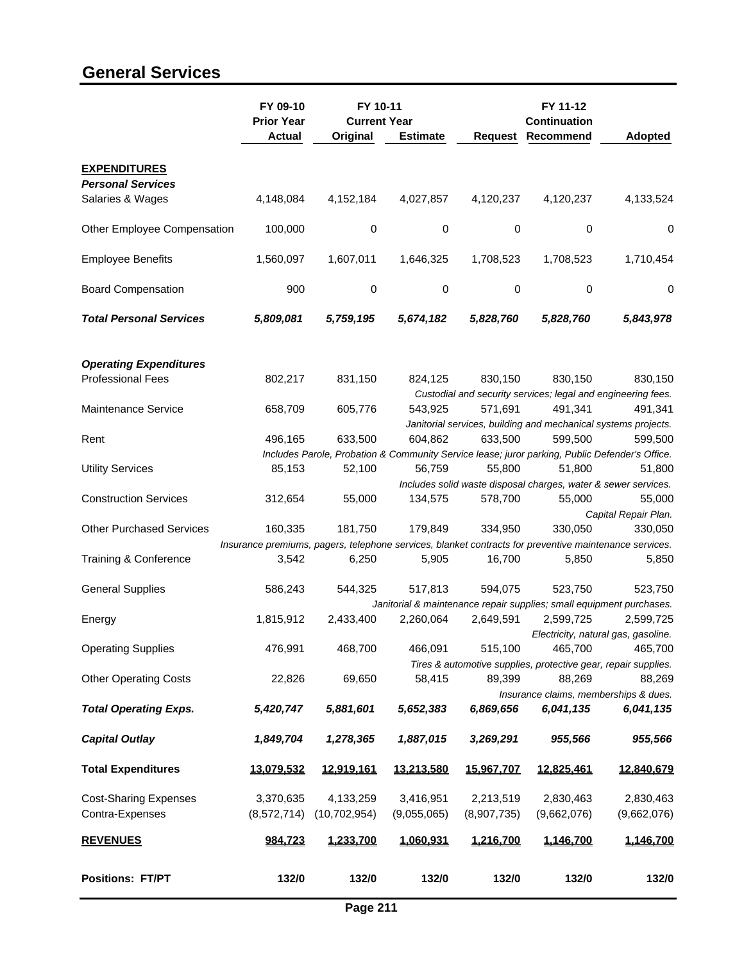## **General Services**

|                                                 | FY 09-10                                                                                               | FY 10-11            |                 |                | FY 11-12            |                                                                                                |
|-------------------------------------------------|--------------------------------------------------------------------------------------------------------|---------------------|-----------------|----------------|---------------------|------------------------------------------------------------------------------------------------|
|                                                 | <b>Prior Year</b>                                                                                      | <b>Current Year</b> |                 |                | <b>Continuation</b> |                                                                                                |
|                                                 | <b>Actual</b>                                                                                          | Original            | <b>Estimate</b> | <b>Request</b> | Recommend           | <b>Adopted</b>                                                                                 |
| <b>EXPENDITURES</b><br><b>Personal Services</b> |                                                                                                        |                     |                 |                |                     |                                                                                                |
| Salaries & Wages                                | 4,148,084                                                                                              | 4,152,184           | 4,027,857       | 4,120,237      | 4,120,237           | 4,133,524                                                                                      |
| Other Employee Compensation                     | 100,000                                                                                                | $\mathbf 0$         | 0               | $\mathbf 0$    | 0                   | 0                                                                                              |
| <b>Employee Benefits</b>                        | 1,560,097                                                                                              | 1,607,011           | 1,646,325       | 1,708,523      | 1,708,523           | 1,710,454                                                                                      |
| <b>Board Compensation</b>                       | 900                                                                                                    | 0                   | 0               | 0              | 0                   | 0                                                                                              |
| <b>Total Personal Services</b>                  | 5,809,081                                                                                              | 5,759,195           | 5,674,182       | 5,828,760      | 5,828,760           | 5,843,978                                                                                      |
| <b>Operating Expenditures</b>                   |                                                                                                        |                     |                 |                |                     |                                                                                                |
| <b>Professional Fees</b>                        | 802,217                                                                                                | 831,150             | 824,125         | 830,150        | 830,150             | 830,150                                                                                        |
|                                                 |                                                                                                        |                     |                 |                |                     | Custodial and security services; legal and engineering fees.                                   |
| Maintenance Service                             | 658,709                                                                                                | 605,776             | 543,925         | 571,691        | 491,341             | 491,341                                                                                        |
| Rent                                            | 496,165                                                                                                | 633,500             | 604,862         | 633,500        | 599,500             | Janitorial services, building and mechanical systems projects.<br>599,500                      |
|                                                 |                                                                                                        |                     |                 |                |                     | Includes Parole, Probation & Community Service lease; juror parking, Public Defender's Office. |
| <b>Utility Services</b>                         | 85,153                                                                                                 | 52,100              | 56,759          | 55,800         | 51,800              | 51,800                                                                                         |
|                                                 |                                                                                                        |                     |                 |                |                     | Includes solid waste disposal charges, water & sewer services.                                 |
| <b>Construction Services</b>                    | 312,654                                                                                                | 55,000              | 134,575         | 578,700        | 55,000              | 55,000                                                                                         |
|                                                 |                                                                                                        |                     |                 |                |                     | Capital Repair Plan.                                                                           |
| <b>Other Purchased Services</b>                 | 160,335                                                                                                | 181,750             | 179,849         | 334,950        | 330,050             | 330,050                                                                                        |
|                                                 | Insurance premiums, pagers, telephone services, blanket contracts for preventive maintenance services. |                     |                 |                |                     |                                                                                                |
| Training & Conference                           | 3,542                                                                                                  | 6,250               | 5,905           | 16,700         | 5,850               | 5,850                                                                                          |
| <b>General Supplies</b>                         | 586,243                                                                                                | 544,325             | 517,813         | 594,075        | 523,750             | 523,750                                                                                        |
|                                                 |                                                                                                        |                     |                 |                |                     | Janitorial & maintenance repair supplies; small equipment purchases.                           |
| Energy                                          | 1,815,912                                                                                              | 2,433,400           | 2,260,064       | 2,649,591      | 2,599,725           | 2,599,725                                                                                      |
|                                                 |                                                                                                        |                     |                 |                |                     | Electricity, natural gas, gasoline.                                                            |
| <b>Operating Supplies</b>                       | 476,991                                                                                                | 468,700             | 466,091         | 515,100        | 465,700             | 465,700                                                                                        |
| <b>Other Operating Costs</b>                    | 22,826                                                                                                 | 69,650              | 58,415          | 89,399         | 88,269              | Tires & automotive supplies, protective gear, repair supplies.<br>88,269                       |
|                                                 |                                                                                                        |                     |                 |                |                     | Insurance claims, memberships & dues.                                                          |
| <b>Total Operating Exps.</b>                    | 5,420,747                                                                                              | 5,881,601           | 5,652,383       | 6,869,656      | 6,041,135           | 6,041,135                                                                                      |
| <b>Capital Outlay</b>                           | 1,849,704                                                                                              | 1,278,365           | 1,887,015       | 3,269,291      | 955,566             | 955,566                                                                                        |
| <b>Total Expenditures</b>                       | 13,079,532                                                                                             | 12,919,161          | 13,213,580      | 15,967,707     | 12,825,461          | 12,840,679                                                                                     |
| <b>Cost-Sharing Expenses</b>                    | 3,370,635                                                                                              | 4,133,259           | 3,416,951       | 2,213,519      | 2,830,463           | 2,830,463                                                                                      |
| Contra-Expenses                                 | (8,572,714)                                                                                            | (10, 702, 954)      | (9,055,065)     | (8,907,735)    | (9,662,076)         | (9,662,076)                                                                                    |
| <b>REVENUES</b>                                 | 984,723                                                                                                | 1,233,700           | 1,060,931       | 1,216,700      | 1,146,700           | 1,146,700                                                                                      |
| <b>Positions: FT/PT</b>                         | 132/0                                                                                                  | 132/0               | 132/0           | 132/0          | 132/0               | 132/0                                                                                          |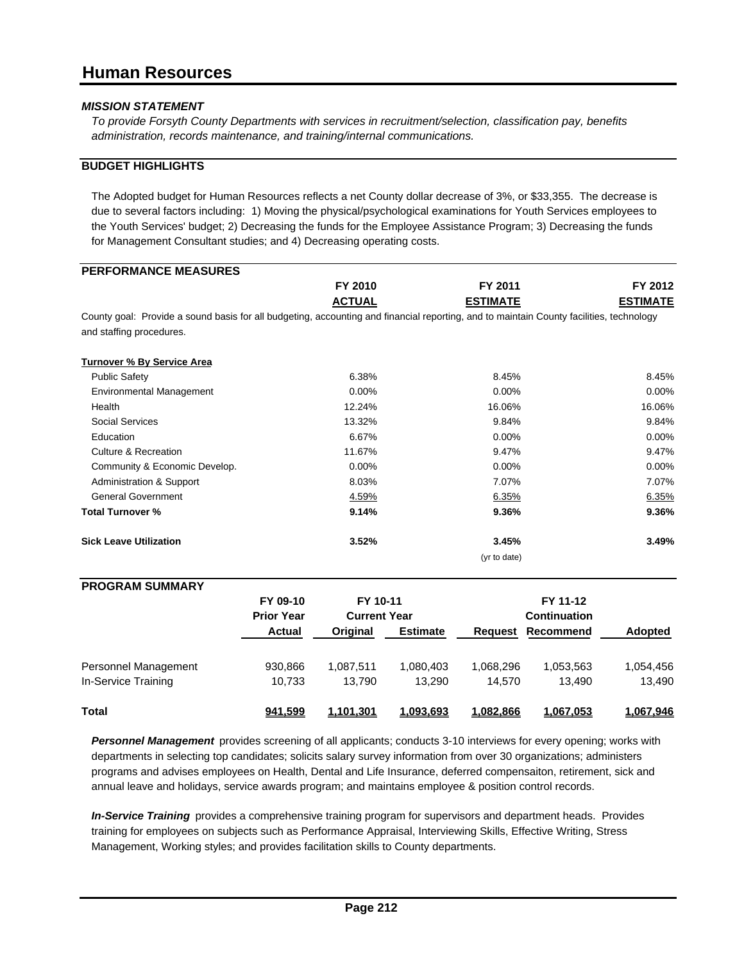*To provide Forsyth County Departments with services in recruitment/selection, classification pay, benefits administration, records maintenance, and training/internal communications.*

#### **BUDGET HIGHLIGHTS**

The Adopted budget for Human Resources reflects a net County dollar decrease of 3%, or \$33,355. The decrease is due to several factors including: 1) Moving the physical/psychological examinations for Youth Services employees to the Youth Services' budget; 2) Decreasing the funds for the Employee Assistance Program; 3) Decreasing the funds for Management Consultant studies; and 4) Decreasing operating costs.

| <b>PERFORMANCE MEASURES</b>                                                                                                                                         |                   |                     |                 |                 |                     |                 |
|---------------------------------------------------------------------------------------------------------------------------------------------------------------------|-------------------|---------------------|-----------------|-----------------|---------------------|-----------------|
|                                                                                                                                                                     |                   | FY 2010             |                 | FY 2011         |                     | FY 2012         |
|                                                                                                                                                                     |                   | <b>ACTUAL</b>       |                 | <b>ESTIMATE</b> |                     | <b>ESTIMATE</b> |
| County goal: Provide a sound basis for all budgeting, accounting and financial reporting, and to maintain County facilities, technology<br>and staffing procedures. |                   |                     |                 |                 |                     |                 |
| <b>Turnover % By Service Area</b>                                                                                                                                   |                   |                     |                 |                 |                     |                 |
| <b>Public Safety</b>                                                                                                                                                |                   | 6.38%               |                 | 8.45%           |                     | 8.45%           |
| <b>Environmental Management</b>                                                                                                                                     |                   | 0.00%               |                 | 0.00%           |                     | 0.00%           |
| Health                                                                                                                                                              |                   | 12.24%              |                 | 16.06%          |                     | 16.06%          |
| <b>Social Services</b>                                                                                                                                              |                   | 13.32%              |                 | 9.84%           |                     | 9.84%           |
| Education                                                                                                                                                           |                   | 6.67%               |                 | 0.00%           |                     | 0.00%           |
| <b>Culture &amp; Recreation</b>                                                                                                                                     |                   | 11.67%              |                 | 9.47%           |                     | 9.47%           |
| Community & Economic Develop.                                                                                                                                       |                   | 0.00%               |                 | 0.00%           |                     | 0.00%           |
| <b>Administration &amp; Support</b>                                                                                                                                 |                   | 8.03%               |                 | 7.07%           |                     | 7.07%           |
| <b>General Government</b>                                                                                                                                           |                   | 4.59%               |                 | 6.35%           |                     | 6.35%           |
| <b>Total Turnover %</b>                                                                                                                                             |                   | 9.14%               |                 | 9.36%           |                     | 9.36%           |
| <b>Sick Leave Utilization</b>                                                                                                                                       |                   | 3.52%               |                 | 3.45%           |                     | 3.49%           |
|                                                                                                                                                                     |                   |                     |                 | (yr to date)    |                     |                 |
| <b>PROGRAM SUMMARY</b>                                                                                                                                              |                   |                     |                 |                 |                     |                 |
|                                                                                                                                                                     | FY 09-10          | FY 10-11            |                 |                 | FY 11-12            |                 |
|                                                                                                                                                                     | <b>Prior Year</b> | <b>Current Year</b> |                 |                 | <b>Continuation</b> |                 |
|                                                                                                                                                                     | <b>Actual</b>     | Original            | <b>Estimate</b> | Request         | Recommend           | Adopted         |
| Personnel Management                                                                                                                                                | 930,866           | 1,087,511           | 1,080,403       | 1,068,296       | 1,053,563           | 1,054,456       |

| In-Service Training | 10.733  | 13.790    | 13.290    | 14.570    | 13.490    | 13.490    |
|---------------------|---------|-----------|-----------|-----------|-----------|-----------|
| Total               | 941,599 | 1,101,301 | 1,093,693 | 1,082,866 | 1,067,053 | 1,067,946 |
| - - -               |         |           |           | .         |           |           |

*Personnel Management* provides screening of all applicants; conducts 3-10 interviews for every opening; works with departments in selecting top candidates; solicits salary survey information from over 30 organizations; administers programs and advises employees on Health, Dental and Life Insurance, deferred compensaiton, retirement, sick and annual leave and holidays, service awards program; and maintains employee & position control records.

*In-Service Training* provides a comprehensive training program for supervisors and department heads. Provides training for employees on subjects such as Performance Appraisal, Interviewing Skills, Effective Writing, Stress Management, Working styles; and provides facilitation skills to County departments.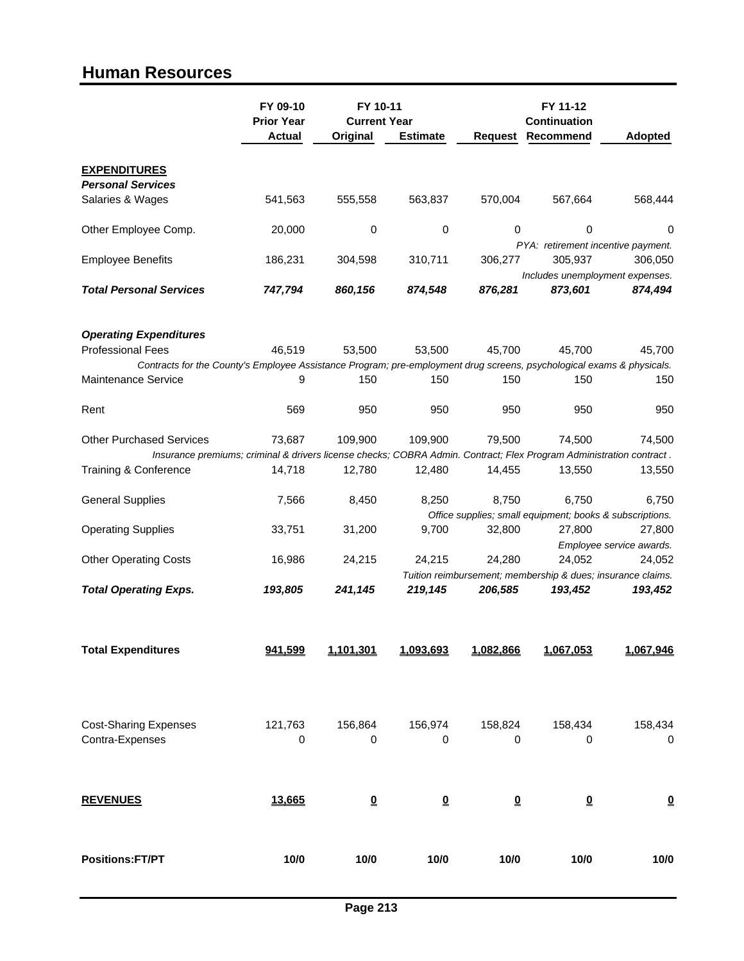### **Human Resources**

|                                                                                                                       | FY 09-10<br><b>Prior Year</b> | FY 10-11<br><b>Current Year</b> |                         |                         | FY 11-12<br>Continuation |                                                                    |
|-----------------------------------------------------------------------------------------------------------------------|-------------------------------|---------------------------------|-------------------------|-------------------------|--------------------------|--------------------------------------------------------------------|
|                                                                                                                       | <b>Actual</b>                 | Original                        | <b>Estimate</b>         | <b>Request</b>          | Recommend                | Adopted                                                            |
| <b>EXPENDITURES</b>                                                                                                   |                               |                                 |                         |                         |                          |                                                                    |
| <b>Personal Services</b><br>Salaries & Wages                                                                          | 541,563                       | 555,558                         | 563,837                 | 570,004                 | 567,664                  | 568,444                                                            |
| Other Employee Comp.                                                                                                  | 20,000                        | 0                               | 0                       | $\mathbf 0$             | 0                        | 0<br>PYA: retirement incentive payment.                            |
| <b>Employee Benefits</b>                                                                                              | 186,231                       | 304,598                         | 310,711                 | 306,277                 | 305,937                  | 306,050                                                            |
| <b>Total Personal Services</b>                                                                                        | 747,794                       | 860,156                         | 874,548                 | 876,281                 | 873,601                  | Includes unemployment expenses.<br>874,494                         |
| <b>Operating Expenditures</b>                                                                                         |                               |                                 |                         |                         |                          |                                                                    |
| <b>Professional Fees</b>                                                                                              | 46,519                        | 53.500                          | 53,500                  | 45,700                  | 45,700                   | 45,700                                                             |
| Contracts for the County's Employee Assistance Program; pre-employment drug screens, psychological exams & physicals. |                               |                                 |                         |                         |                          |                                                                    |
| <b>Maintenance Service</b>                                                                                            | 9                             | 150                             | 150                     | 150                     | 150                      | 150                                                                |
| Rent                                                                                                                  | 569                           | 950                             | 950                     | 950                     | 950                      | 950                                                                |
| <b>Other Purchased Services</b>                                                                                       | 73,687                        | 109,900                         | 109,900                 | 79,500                  | 74,500                   | 74,500                                                             |
| Insurance premiums; criminal & drivers license checks; COBRA Admin. Contract; Flex Program Administration contract.   |                               |                                 |                         |                         |                          |                                                                    |
| Training & Conference                                                                                                 | 14,718                        | 12,780                          | 12,480                  | 14,455                  | 13,550                   | 13,550                                                             |
| <b>General Supplies</b>                                                                                               | 7,566                         | 8,450                           | 8,250                   | 8,750                   | 6,750                    | 6,750                                                              |
|                                                                                                                       |                               |                                 | 9,700                   | 32,800                  | 27,800                   | Office supplies; small equipment; books & subscriptions.<br>27,800 |
| <b>Operating Supplies</b>                                                                                             | 33,751                        | 31,200                          |                         |                         |                          | Employee service awards.                                           |
| <b>Other Operating Costs</b>                                                                                          | 16,986                        | 24,215                          | 24,215                  | 24,280                  | 24.052                   | 24,052                                                             |
|                                                                                                                       |                               |                                 |                         |                         |                          | Tuition reimbursement; membership & dues; insurance claims.        |
| <b>Total Operating Exps.</b>                                                                                          | 193,805                       | 241,145                         | 219,145                 | 206,585                 | 193,452                  | 193,452                                                            |
| <b>Total Expenditures</b>                                                                                             | 941,599                       | 1,101,301                       | 1,093,693               | 1,082,866               | 1,067,053                | 1,067,946                                                          |
| <b>Cost-Sharing Expenses</b><br>Contra-Expenses                                                                       | 121,763<br>0                  | 156,864<br>0                    | 156,974<br>0            | 158,824<br>0            | 158,434<br>0             | 158,434<br>0                                                       |
| <b>REVENUES</b>                                                                                                       | 13,665                        | $\overline{\mathbf{0}}$         | $\overline{\mathbf{0}}$ | $\overline{\mathbf{0}}$ | $\overline{\mathbf{0}}$  | $\overline{\mathbf{0}}$                                            |
| <b>Positions:FT/PT</b>                                                                                                | 10/0                          | 10/0                            | 10/0                    | 10/0                    | 10/0                     | 10/0                                                               |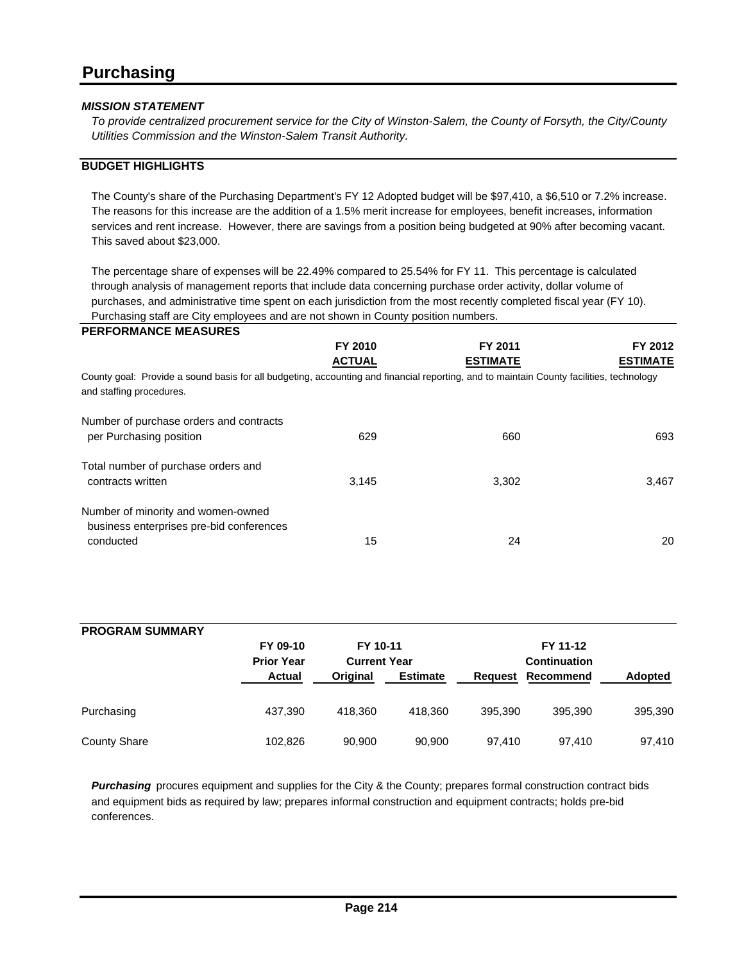*To provide centralized procurement service for the City of Winston-Salem, the County of Forsyth, the City/County Utilities Commission and the Winston-Salem Transit Authority.*

#### **BUDGET HIGHLIGHTS**

The County's share of the Purchasing Department's FY 12 Adopted budget will be \$97,410, a \$6,510 or 7.2% increase. The reasons for this increase are the addition of a 1.5% merit increase for employees, benefit increases, information services and rent increase. However, there are savings from a position being budgeted at 90% after becoming vacant. This saved about \$23,000.

The percentage share of expenses will be 22.49% compared to 25.54% for FY 11. This percentage is calculated through analysis of management reports that include data concerning purchase order activity, dollar volume of purchases, and administrative time spent on each jurisdiction from the most recently completed fiscal year (FY 10). Purchasing staff are City employees and are not shown in County position numbers.

| FY 2012                                                                                                                                 |
|-----------------------------------------------------------------------------------------------------------------------------------------|
| <b>ESTIMATE</b>                                                                                                                         |
| County goal: Provide a sound basis for all budgeting, accounting and financial reporting, and to maintain County facilities, technology |
|                                                                                                                                         |
| 693                                                                                                                                     |
|                                                                                                                                         |
| 3.467                                                                                                                                   |
|                                                                                                                                         |
| 20                                                                                                                                      |
|                                                                                                                                         |

| <b>PROGRAM SUMMARY</b> | FY 09-10                           | FY 10-11                        |                 |         | FY 11-12                         |         |
|------------------------|------------------------------------|---------------------------------|-----------------|---------|----------------------------------|---------|
|                        | <b>Prior Year</b><br><b>Actual</b> | <b>Current Year</b><br>Original | <b>Estimate</b> | Request | <b>Continuation</b><br>Recommend | Adopted |
| Purchasing             | 437.390                            | 418.360                         | 418.360         | 395.390 | 395.390                          | 395,390 |
| <b>County Share</b>    | 102,826                            | 90,900                          | 90,900          | 97.410  | 97.410                           | 97,410  |

*Purchasing* procures equipment and supplies for the City & the County; prepares formal construction contract bids and equipment bids as required by law; prepares informal construction and equipment contracts; holds pre-bid conferences.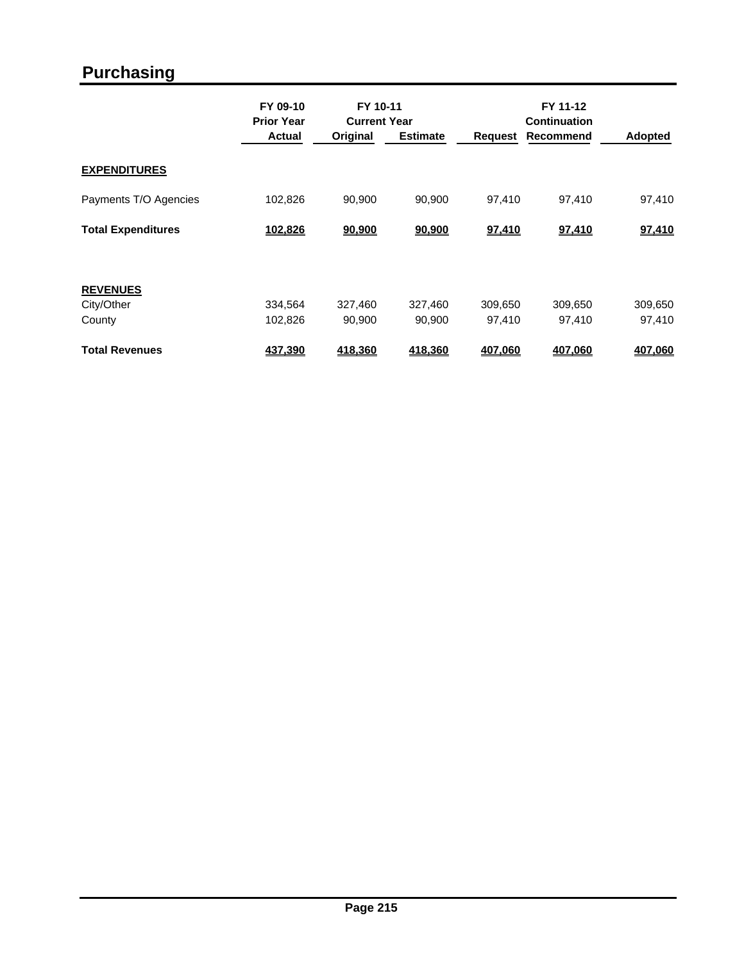# **Purchasing**

|                           | FY 09-10<br><b>Prior Year</b> |                   | FY 10-11<br><b>Current Year</b> |                   | FY 11-12<br><b>Continuation</b> |                   |  |
|---------------------------|-------------------------------|-------------------|---------------------------------|-------------------|---------------------------------|-------------------|--|
|                           | <b>Actual</b>                 | Original          | <b>Estimate</b>                 | Request           | Recommend                       | <b>Adopted</b>    |  |
| <b>EXPENDITURES</b>       |                               |                   |                                 |                   |                                 |                   |  |
| Payments T/O Agencies     | 102,826                       | 90,900            | 90,900                          | 97.410            | 97,410                          | 97,410            |  |
| <b>Total Expenditures</b> | 102,826                       | 90,900            | 90,900                          | 97,410            | 97,410                          | 97,410            |  |
|                           |                               |                   |                                 |                   |                                 |                   |  |
| <b>REVENUES</b>           |                               |                   |                                 |                   |                                 |                   |  |
| City/Other<br>County      | 334,564<br>102,826            | 327.460<br>90,900 | 327,460<br>90,900               | 309,650<br>97,410 | 309,650<br>97,410               | 309,650<br>97,410 |  |
|                           |                               |                   |                                 |                   |                                 |                   |  |
| <b>Total Revenues</b>     | 437,390                       | 418,360           | 418,360                         | 407,060           | 407,060                         | 407,060           |  |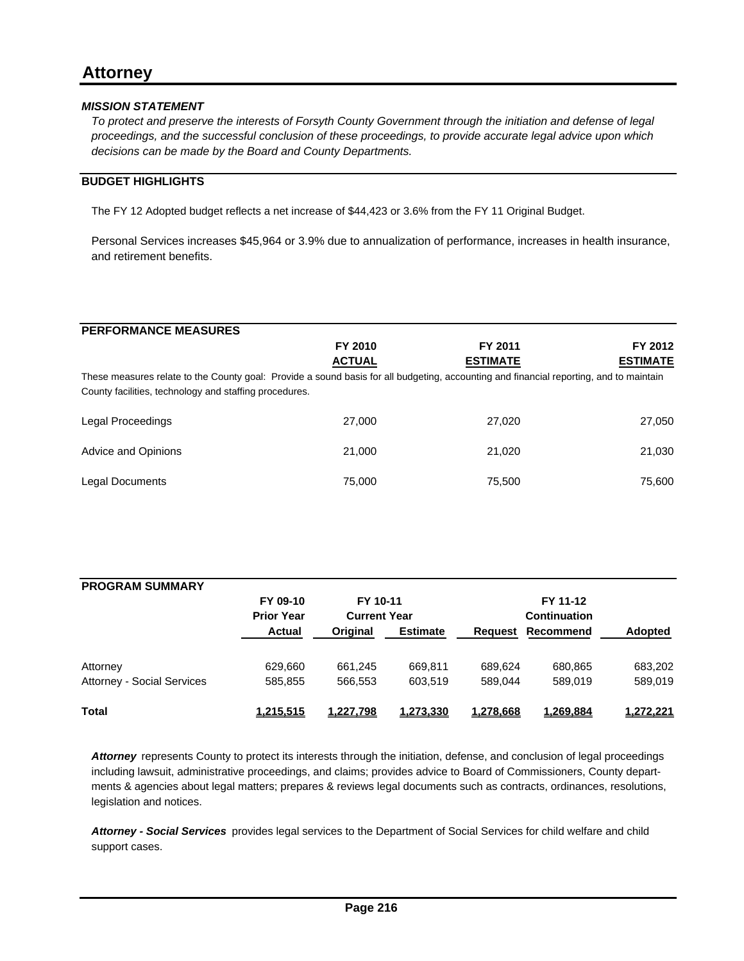*To protect and preserve the interests of Forsyth County Government through the initiation and defense of legal proceedings, and the successful conclusion of these proceedings, to provide accurate legal advice upon which decisions can be made by the Board and County Departments.*

### **BUDGET HIGHLIGHTS**

The FY 12 Adopted budget reflects a net increase of \$44,423 or 3.6% from the FY 11 Original Budget.

Personal Services increases \$45,964 or 3.9% due to annualization of performance, increases in health insurance, and retirement benefits.

| <b>PERFORMANCE MEASURES</b>                                                                                                                                                                      |               |                 |                 |
|--------------------------------------------------------------------------------------------------------------------------------------------------------------------------------------------------|---------------|-----------------|-----------------|
|                                                                                                                                                                                                  | FY 2010       | FY 2011         | FY 2012         |
|                                                                                                                                                                                                  | <b>ACTUAL</b> | <b>ESTIMATE</b> | <b>ESTIMATE</b> |
| These measures relate to the County goal: Provide a sound basis for all budgeting, accounting and financial reporting, and to maintain<br>County facilities, technology and staffing procedures. |               |                 |                 |
| Legal Proceedings                                                                                                                                                                                | 27,000        | 27,020          | 27,050          |
| Advice and Opinions                                                                                                                                                                              | 21,000        | 21.020          | 21,030          |
| Legal Documents                                                                                                                                                                                  | 75,000        | 75.500          | 75,600          |

| <b>PROGRAM SUMMARY</b>     |                   |                     |                 |           |                     |                |  |
|----------------------------|-------------------|---------------------|-----------------|-----------|---------------------|----------------|--|
|                            | FY 09-10          | FY 10-11            |                 |           | FY 11-12            |                |  |
|                            | <b>Prior Year</b> | <b>Current Year</b> |                 |           | <b>Continuation</b> |                |  |
|                            | <b>Actual</b>     | Original            | <b>Estimate</b> | Reauest   | Recommend           | <b>Adopted</b> |  |
| Attorney                   | 629,660           | 661.245             | 669.811         | 689.624   | 680,865             | 683,202        |  |
| Attorney - Social Services | 585,855           | 566,553             | 603.519         | 589.044   | 589.019             | 589,019        |  |
| <b>Total</b>               | 1,215,515         | 1.227.798           | 1,273,330       | 1,278,668 | 1.269.884           | 1,272,221      |  |

*Attorney* represents County to protect its interests through the initiation, defense, and conclusion of legal proceedings including lawsuit, administrative proceedings, and claims; provides advice to Board of Commissioners, County departments & agencies about legal matters; prepares & reviews legal documents such as contracts, ordinances, resolutions, legislation and notices.

*Attorney - Social Services* provides legal services to the Department of Social Services for child welfare and child support cases.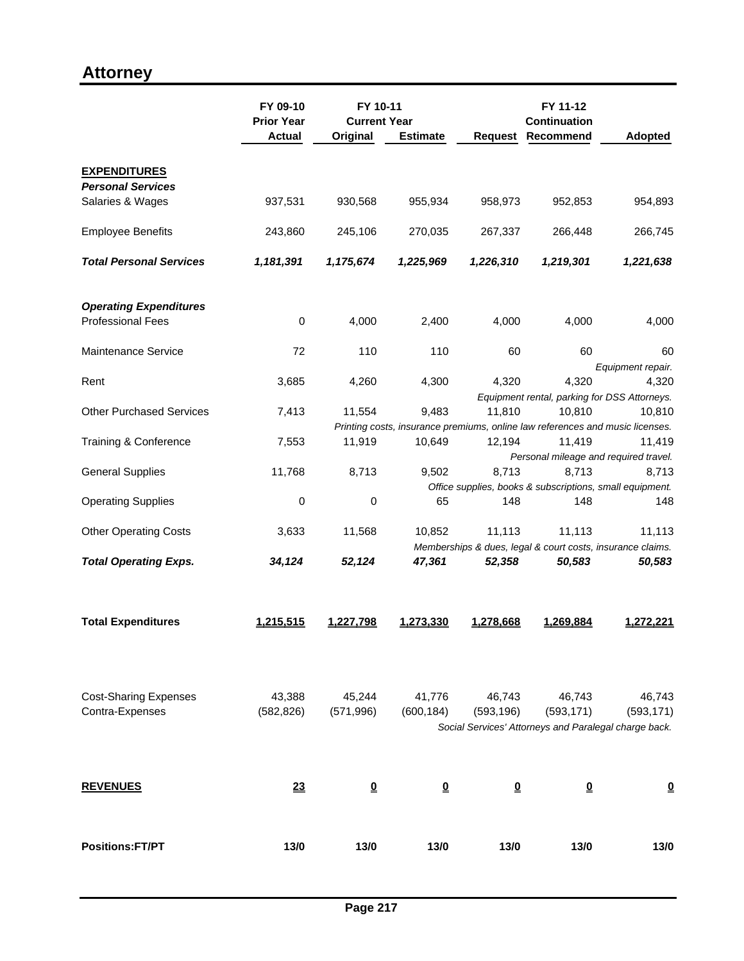## **Attorney**

|                                                 | FY 09-10<br>FY 10-11<br><b>Current Year</b> |                      |                      | FY 11-12<br><b>Continuation</b> |                         |                                                                                         |
|-------------------------------------------------|---------------------------------------------|----------------------|----------------------|---------------------------------|-------------------------|-----------------------------------------------------------------------------------------|
|                                                 | <b>Prior Year</b><br><b>Actual</b>          | Original             | <b>Estimate</b>      | Request                         | Recommend               | <b>Adopted</b>                                                                          |
| <b>EXPENDITURES</b>                             |                                             |                      |                      |                                 |                         |                                                                                         |
| <b>Personal Services</b>                        |                                             |                      |                      |                                 |                         |                                                                                         |
| Salaries & Wages                                | 937,531                                     | 930,568              | 955,934              | 958,973                         | 952,853                 | 954,893                                                                                 |
| <b>Employee Benefits</b>                        | 243,860                                     | 245,106              | 270,035              | 267,337                         | 266,448                 | 266,745                                                                                 |
| <b>Total Personal Services</b>                  | 1,181,391                                   | 1,175,674            | 1,225,969            | 1,226,310                       | 1,219,301               | 1,221,638                                                                               |
| <b>Operating Expenditures</b>                   |                                             |                      |                      |                                 |                         |                                                                                         |
| <b>Professional Fees</b>                        | $\mathbf 0$                                 | 4,000                | 2,400                | 4,000                           | 4,000                   | 4,000                                                                                   |
| <b>Maintenance Service</b>                      | 72                                          | 110                  | 110                  | 60                              | 60                      | 60<br>Equipment repair.                                                                 |
| Rent                                            | 3,685                                       | 4,260                | 4,300                | 4,320                           | 4,320                   | 4,320                                                                                   |
|                                                 |                                             |                      |                      |                                 |                         | Equipment rental, parking for DSS Attorneys.                                            |
| <b>Other Purchased Services</b>                 | 7,413                                       | 11,554               | 9,483                | 11,810                          | 10,810                  | 10,810<br>Printing costs, insurance premiums, online law references and music licenses. |
| Training & Conference                           | 7,553                                       | 11,919               | 10,649               | 12,194                          | 11,419                  | 11,419                                                                                  |
| <b>General Supplies</b>                         | 11,768                                      | 8,713                | 9,502                | 8,713                           | 8,713                   | Personal mileage and required travel.<br>8,713                                          |
|                                                 |                                             |                      |                      |                                 |                         | Office supplies, books & subscriptions, small equipment.                                |
| <b>Operating Supplies</b>                       | 0                                           | $\mathbf 0$          | 65                   | 148                             | 148                     | 148                                                                                     |
| <b>Other Operating Costs</b>                    | 3,633                                       | 11,568               | 10,852               | 11,113                          | 11,113                  | 11,113                                                                                  |
|                                                 |                                             |                      |                      |                                 |                         | Memberships & dues, legal & court costs, insurance claims.                              |
| <b>Total Operating Exps.</b>                    | 34,124                                      | 52,124               | 47,361               | 52,358                          | 50,583                  | 50,583                                                                                  |
| <b>Total Expenditures</b>                       | 1,215,515                                   | 1,227,798            | 1,273,330            | 1,278,668                       | 1,269,884               | 1,272,221                                                                               |
| <b>Cost-Sharing Expenses</b><br>Contra-Expenses | 43,388<br>(582, 826)                        | 45,244<br>(571, 996) | 41,776<br>(600, 184) | 46,743<br>(593, 196)            | 46,743<br>(593, 171)    | 46,743<br>(593, 171)                                                                    |
|                                                 |                                             |                      |                      |                                 |                         | Social Services' Attorneys and Paralegal charge back.                                   |
| <b>REVENUES</b>                                 | 23                                          | $\Omega$             | $\Omega$             | $\overline{\mathbf{0}}$         | $\overline{\mathbf{0}}$ | $\overline{\mathbf{0}}$                                                                 |
| <b>Positions:FT/PT</b>                          | 13/0                                        | 13/0                 | 13/0                 | 13/0                            | 13/0                    | 13/0                                                                                    |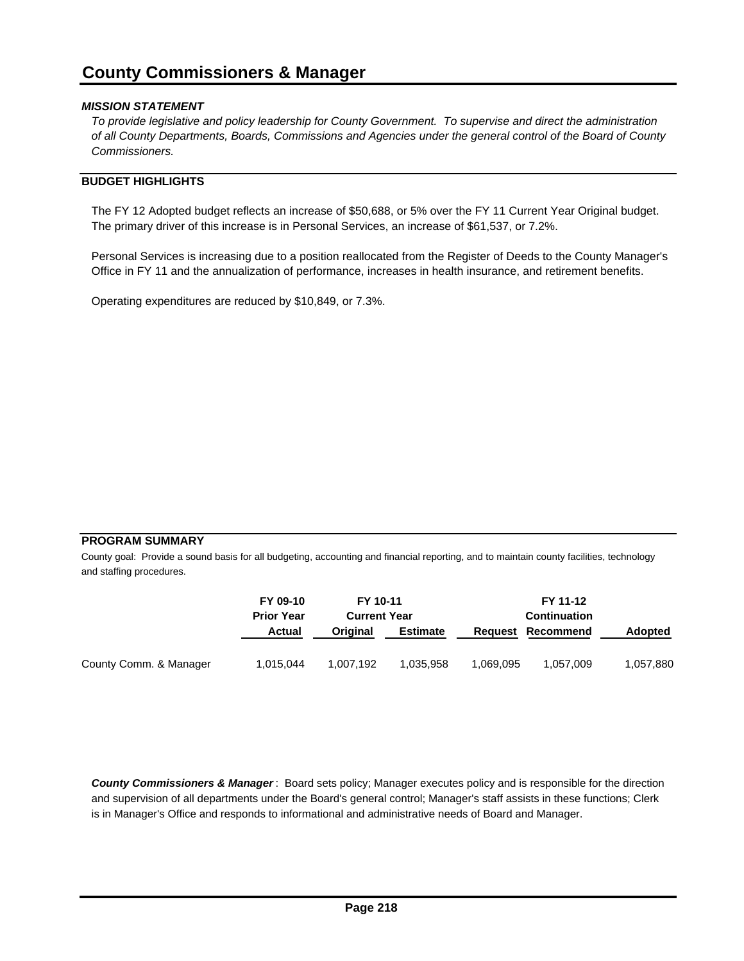*To provide legislative and policy leadership for County Government. To supervise and direct the administration of all County Departments, Boards, Commissions and Agencies under the general control of the Board of County Commissioners.*

### **BUDGET HIGHLIGHTS**

The FY 12 Adopted budget reflects an increase of \$50,688, or 5% over the FY 11 Current Year Original budget. The primary driver of this increase is in Personal Services, an increase of \$61,537, or 7.2%.

Personal Services is increasing due to a position reallocated from the Register of Deeds to the County Manager's Office in FY 11 and the annualization of performance, increases in health insurance, and retirement benefits.

Operating expenditures are reduced by \$10,849, or 7.3%.

#### **PROGRAM SUMMARY**

County goal: Provide a sound basis for all budgeting, accounting and financial reporting, and to maintain county facilities, technology and staffing procedures.

|                        | FY 09-10<br><b>Prior Year</b><br>Actual | FY 10-11<br><b>Current Year</b> |                 |           | FY 11-12<br><b>Continuation</b> |                |
|------------------------|-----------------------------------------|---------------------------------|-----------------|-----------|---------------------------------|----------------|
|                        |                                         | Original                        | <b>Estimate</b> | Request   | Recommend                       | <b>Adopted</b> |
| County Comm. & Manager | 1.015.044                               | 1.007.192                       | 1.035.958       | 1.069.095 | 1.057.009                       | 1,057,880      |

*County Commissioners & Manager* : Board sets policy; Manager executes policy and is responsible for the direction and supervision of all departments under the Board's general control; Manager's staff assists in these functions; Clerk is in Manager's Office and responds to informational and administrative needs of Board and Manager.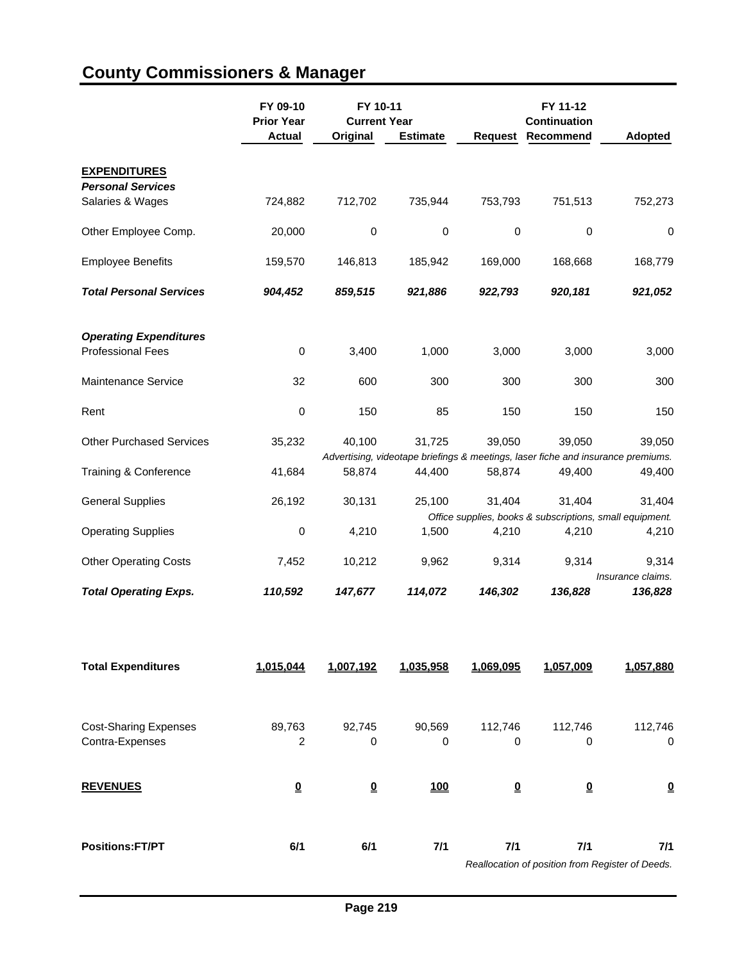|                                 | FY 09-10<br><b>Prior Year</b><br><b>Actual</b> | FY 10-11<br><b>Current Year</b><br>Original | <b>Estimate</b> | Request | FY 11-12<br><b>Continuation</b><br>Recommend | <b>Adopted</b>                                                                   |
|---------------------------------|------------------------------------------------|---------------------------------------------|-----------------|---------|----------------------------------------------|----------------------------------------------------------------------------------|
| <b>EXPENDITURES</b>             |                                                |                                             |                 |         |                                              |                                                                                  |
| <b>Personal Services</b>        |                                                |                                             |                 |         |                                              |                                                                                  |
| Salaries & Wages                | 724,882                                        | 712,702                                     | 735,944         | 753,793 | 751,513                                      | 752,273                                                                          |
| Other Employee Comp.            | 20,000                                         | 0                                           | 0               | 0       | 0                                            | 0                                                                                |
| <b>Employee Benefits</b>        | 159,570                                        | 146,813                                     | 185,942         | 169,000 | 168,668                                      | 168,779                                                                          |
| <b>Total Personal Services</b>  | 904,452                                        | 859,515                                     | 921,886         | 922,793 | 920,181                                      | 921,052                                                                          |
| <b>Operating Expenditures</b>   |                                                |                                             |                 |         |                                              |                                                                                  |
| <b>Professional Fees</b>        | $\mathbf 0$                                    | 3,400                                       | 1,000           | 3,000   | 3,000                                        | 3,000                                                                            |
| <b>Maintenance Service</b>      | 32                                             | 600                                         | 300             | 300     | 300                                          | 300                                                                              |
| Rent                            | 0                                              | 150                                         | 85              | 150     | 150                                          | 150                                                                              |
| <b>Other Purchased Services</b> | 35,232                                         | 40,100                                      | 31,725          | 39,050  | 39,050                                       | 39,050                                                                           |
|                                 |                                                |                                             |                 |         |                                              | Advertising, videotape briefings & meetings, laser fiche and insurance premiums. |
| Training & Conference           | 41,684                                         | 58,874                                      | 44,400          | 58,874  | 49,400                                       | 49,400                                                                           |
| <b>General Supplies</b>         | 26,192                                         | 30,131                                      | 25,100          | 31,404  | 31,404                                       | 31,404                                                                           |
|                                 |                                                |                                             |                 |         |                                              | Office supplies, books & subscriptions, small equipment.                         |
| <b>Operating Supplies</b>       | $\mathbf 0$                                    | 4,210                                       | 1,500           | 4,210   | 4,210                                        | 4,210                                                                            |
| <b>Other Operating Costs</b>    | 7,452                                          | 10,212                                      | 9,962           | 9,314   | 9,314                                        | 9,314<br>Insurance claims.                                                       |
| <b>Total Operating Exps.</b>    | 110,592                                        | 147,677                                     | 114,072         | 146,302 | 136,828                                      | 136,828                                                                          |

# **County Commissioners & Manager**

| <b>Total Expenditures</b>    | 1,015,044 | 1,007,192 | 1,035,958  | 1,069,095               | 1,057,009                                        | 1,057,880 |
|------------------------------|-----------|-----------|------------|-------------------------|--------------------------------------------------|-----------|
| <b>Cost-Sharing Expenses</b> | 89,763    | 92,745    | 90,569     | 112,746                 | 112,746                                          | 112,746   |
| Contra-Expenses              | 2         | 0         | 0          | 0                       | 0                                                | 0         |
| <b>REVENUES</b>              | <u>0</u>  | $\Omega$  | <b>100</b> | $\overline{\mathbf{0}}$ | $\overline{\mathbf{0}}$                          | $\Omega$  |
| <b>Positions:FT/PT</b>       | 6/1       | 6/1       | 7/1        | 7/1                     | 7/1                                              | 7/1       |
|                              |           |           |            |                         | Reallocation of position from Register of Deeds. |           |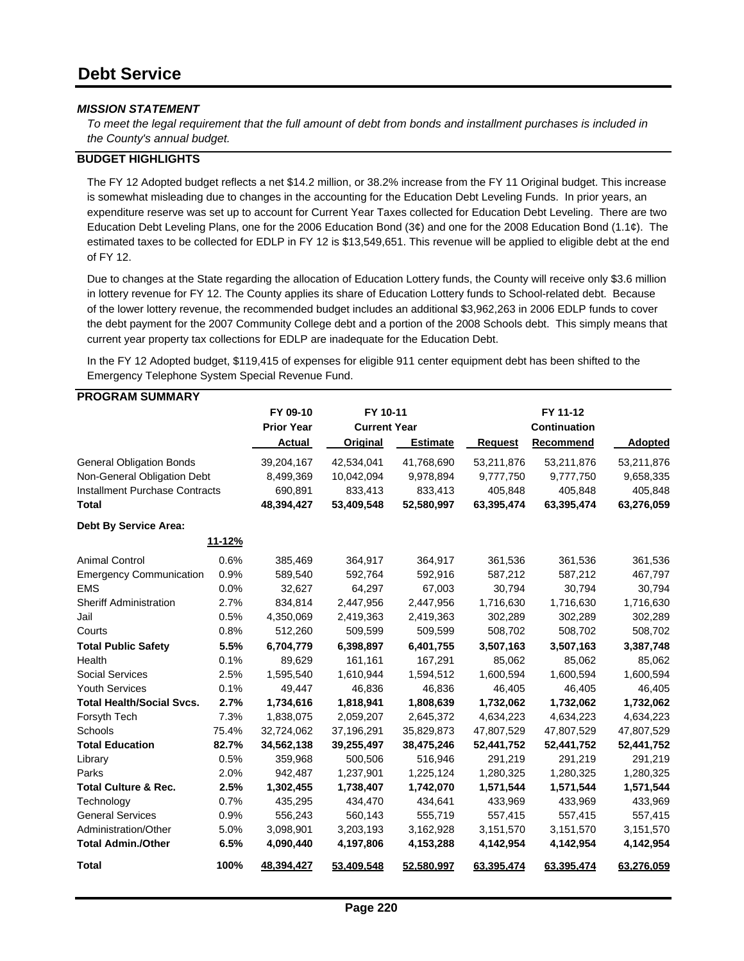*To meet the legal requirement that the full amount of debt from bonds and installment purchases is included in the County's annual budget.* 

#### **BUDGET HIGHLIGHTS**

The FY 12 Adopted budget reflects a net \$14.2 million, or 38.2% increase from the FY 11 Original budget. This increase is somewhat misleading due to changes in the accounting for the Education Debt Leveling Funds. In prior years, an expenditure reserve was set up to account for Current Year Taxes collected for Education Debt Leveling. There are two Education Debt Leveling Plans, one for the 2006 Education Bond (3¢) and one for the 2008 Education Bond (1.1¢). The estimated taxes to be collected for EDLP in FY 12 is \$13,549,651. This revenue will be applied to eligible debt at the end of FY 12.

Due to changes at the State regarding the allocation of Education Lottery funds, the County will receive only \$3.6 million in lottery revenue for FY 12. The County applies its share of Education Lottery funds to School-related debt. Because of the lower lottery revenue, the recommended budget includes an additional \$3,962,263 in 2006 EDLP funds to cover the debt payment for the 2007 Community College debt and a portion of the 2008 Schools debt. This simply means that current year property tax collections for EDLP are inadequate for the Education Debt.

In the FY 12 Adopted budget, \$119,415 of expenses for eligible 911 center equipment debt has been shifted to the Emergency Telephone System Special Revenue Fund.

|  |  |  | <b>PROGRAM SUMMARY</b> |  |
|--|--|--|------------------------|--|
|--|--|--|------------------------|--|

| ו האווווטט וזהאוטטור                  |        |                   |            |                     |            |                     |                |
|---------------------------------------|--------|-------------------|------------|---------------------|------------|---------------------|----------------|
|                                       |        | FY 09-10          | FY 10-11   |                     |            | FY 11-12            |                |
|                                       |        | <b>Prior Year</b> |            | <b>Current Year</b> |            | <b>Continuation</b> |                |
|                                       |        | Actual            | Original   | <b>Estimate</b>     | Request    | Recommend           | <b>Adopted</b> |
| <b>General Obligation Bonds</b>       |        | 39,204,167        | 42,534,041 | 41,768,690          | 53,211,876 | 53,211,876          | 53,211,876     |
| Non-General Obligation Debt           |        | 8,499,369         | 10,042,094 | 9,978,894           | 9,777,750  | 9,777,750           | 9,658,335      |
| <b>Installment Purchase Contracts</b> |        | 690,891           | 833,413    | 833,413             | 405,848    | 405,848             | 405,848        |
| <b>Total</b>                          |        | 48,394,427        | 53,409,548 | 52,580,997          | 63,395,474 | 63,395,474          | 63,276,059     |
| <b>Debt By Service Area:</b>          |        |                   |            |                     |            |                     |                |
|                                       | 11-12% |                   |            |                     |            |                     |                |
| <b>Animal Control</b>                 | 0.6%   | 385,469           | 364,917    | 364,917             | 361,536    | 361,536             | 361,536        |
| <b>Emergency Communication</b>        | 0.9%   | 589,540           | 592,764    | 592,916             | 587,212    | 587,212             | 467,797        |
| <b>EMS</b>                            | 0.0%   | 32,627            | 64,297     | 67,003              | 30,794     | 30,794              | 30,794         |
| <b>Sheriff Administration</b>         | 2.7%   | 834,814           | 2,447,956  | 2,447,956           | 1,716,630  | 1,716,630           | 1,716,630      |
| Jail                                  | 0.5%   | 4,350,069         | 2,419,363  | 2,419,363           | 302,289    | 302,289             | 302,289        |
| Courts                                | 0.8%   | 512,260           | 509,599    | 509,599             | 508,702    | 508,702             | 508,702        |
| <b>Total Public Safety</b>            | 5.5%   | 6,704,779         | 6,398,897  | 6,401,755           | 3,507,163  | 3,507,163           | 3,387,748      |
| Health                                | 0.1%   | 89,629            | 161,161    | 167,291             | 85,062     | 85,062              | 85,062         |
| <b>Social Services</b>                | 2.5%   | 1,595,540         | 1,610,944  | 1,594,512           | 1,600,594  | 1,600,594           | 1,600,594      |
| <b>Youth Services</b>                 | 0.1%   | 49,447            | 46,836     | 46,836              | 46,405     | 46,405              | 46,405         |
| <b>Total Health/Social Svcs.</b>      | 2.7%   | 1,734,616         | 1,818,941  | 1,808,639           | 1,732,062  | 1,732,062           | 1,732,062      |
| Forsyth Tech                          | 7.3%   | 1,838,075         | 2,059,207  | 2,645,372           | 4,634,223  | 4,634,223           | 4,634,223      |
| Schools                               | 75.4%  | 32,724,062        | 37,196,291 | 35,829,873          | 47,807,529 | 47,807,529          | 47,807,529     |
| <b>Total Education</b>                | 82.7%  | 34,562,138        | 39,255,497 | 38,475,246          | 52,441,752 | 52,441,752          | 52,441,752     |
| Library                               | 0.5%   | 359,968           | 500,506    | 516,946             | 291,219    | 291,219             | 291,219        |
| Parks                                 | 2.0%   | 942,487           | 1,237,901  | 1,225,124           | 1,280,325  | 1,280,325           | 1,280,325      |
| <b>Total Culture &amp; Rec.</b>       | 2.5%   | 1,302,455         | 1,738,407  | 1,742,070           | 1,571,544  | 1,571,544           | 1,571,544      |
| Technology                            | 0.7%   | 435,295           | 434,470    | 434,641             | 433,969    | 433,969             | 433,969        |
| <b>General Services</b>               | 0.9%   | 556,243           | 560,143    | 555,719             | 557,415    | 557,415             | 557,415        |
| Administration/Other                  | 5.0%   | 3,098,901         | 3,203,193  | 3,162,928           | 3,151,570  | 3,151,570           | 3,151,570      |
| <b>Total Admin./Other</b>             | 6.5%   | 4,090,440         | 4,197,806  | 4,153,288           | 4,142,954  | 4,142,954           | 4,142,954      |
| Total                                 | 100%   | 48.394.427        | 53.409.548 | 52.580.997          | 63.395.474 | 63.395.474          | 63.276.059     |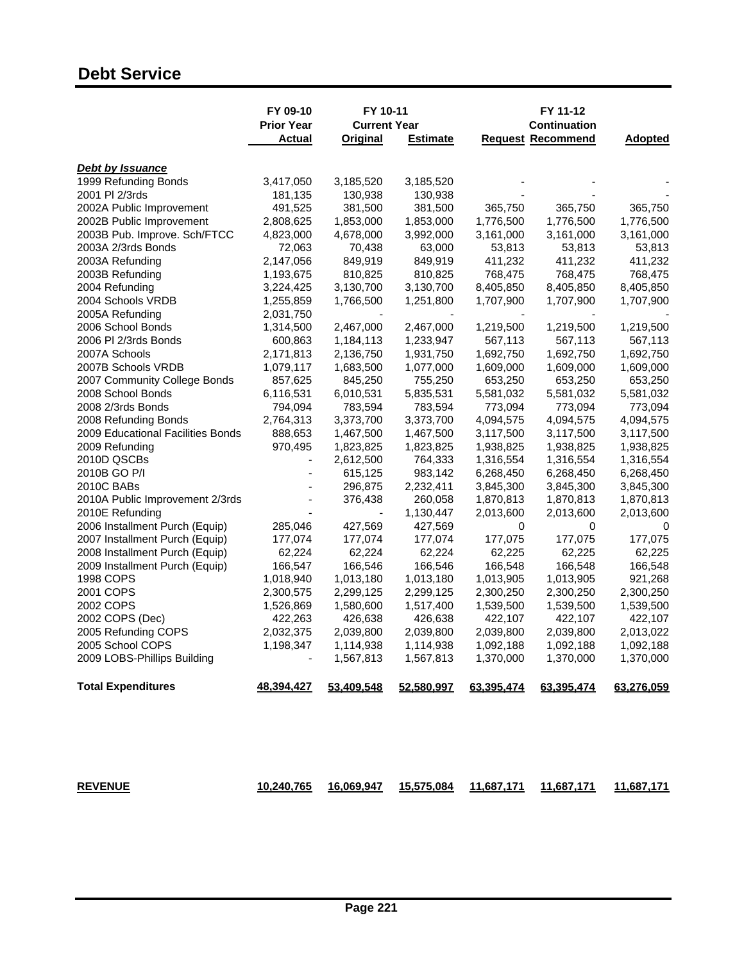## **Debt Service**

|                                   | FY 09-10<br><b>Prior Year</b><br>Actual | FY 10-11<br><b>Current Year</b><br><b>Original</b> | <b>Estimate</b>      |                        | FY 11-12<br><b>Continuation</b><br><b>Request Recommend</b> | <b>Adopted</b> |
|-----------------------------------|-----------------------------------------|----------------------------------------------------|----------------------|------------------------|-------------------------------------------------------------|----------------|
| Debt by Issuance                  |                                         |                                                    |                      |                        |                                                             |                |
| 1999 Refunding Bonds              | 3,417,050                               | 3,185,520                                          | 3,185,520            |                        |                                                             |                |
| 2001 PI 2/3rds                    | 181,135                                 | 130,938                                            | 130,938              |                        |                                                             |                |
| 2002A Public Improvement          | 491,525                                 | 381,500                                            | 381,500              | 365,750                | 365,750                                                     | 365,750        |
| 2002B Public Improvement          | 2,808,625                               | 1,853,000                                          | 1,853,000            | 1,776,500              | 1,776,500                                                   | 1,776,500      |
| 2003B Pub. Improve. Sch/FTCC      | 4,823,000                               | 4,678,000                                          | 3,992,000            | 3,161,000              | 3,161,000                                                   | 3,161,000      |
| 2003A 2/3rds Bonds                | 72,063                                  | 70,438                                             | 63,000               | 53,813                 | 53,813                                                      | 53,813         |
| 2003A Refunding                   | 2,147,056                               | 849,919                                            | 849,919              | 411,232                | 411,232                                                     | 411,232        |
| 2003B Refunding                   | 1,193,675                               | 810,825                                            | 810,825              | 768,475                | 768,475                                                     | 768,475        |
| 2004 Refunding                    | 3,224,425                               | 3,130,700                                          | 3,130,700            | 8,405,850              | 8,405,850                                                   | 8,405,850      |
| 2004 Schools VRDB                 | 1,255,859                               | 1,766,500                                          | 1,251,800            | 1,707,900              | 1,707,900                                                   | 1,707,900      |
| 2005A Refunding                   | 2,031,750                               |                                                    |                      |                        |                                                             |                |
| 2006 School Bonds                 | 1,314,500                               | 2,467,000                                          | 2,467,000            | 1,219,500              | 1,219,500                                                   | 1,219,500      |
| 2006 PI 2/3rds Bonds              | 600,863                                 | 1,184,113                                          | 1,233,947            | 567,113                | 567,113                                                     | 567,113        |
| 2007A Schools                     | 2,171,813                               | 2,136,750                                          | 1,931,750            | 1,692,750              | 1,692,750                                                   | 1,692,750      |
| 2007B Schools VRDB                | 1,079,117                               | 1,683,500                                          | 1,077,000            | 1,609,000              | 1,609,000                                                   | 1,609,000      |
| 2007 Community College Bonds      | 857,625                                 | 845,250                                            | 755,250              | 653,250                | 653,250                                                     | 653,250        |
| 2008 School Bonds                 | 6,116,531                               | 6,010,531                                          | 5,835,531            | 5,581,032              | 5,581,032                                                   | 5,581,032      |
| 2008 2/3rds Bonds                 | 794,094                                 | 783,594                                            | 783,594              | 773,094                | 773,094                                                     | 773,094        |
| 2008 Refunding Bonds              | 2,764,313                               | 3,373,700                                          | 3,373,700            | 4,094,575              | 4,094,575                                                   | 4,094,575      |
| 2009 Educational Facilities Bonds | 888,653                                 | 1,467,500                                          | 1,467,500            | 3,117,500              | 3,117,500                                                   | 3,117,500      |
| 2009 Refunding                    | 970,495                                 | 1,823,825                                          | 1,823,825            | 1,938,825              | 1,938,825                                                   | 1,938,825      |
| 2010D QSCBs                       | $\overline{\phantom{a}}$                |                                                    |                      |                        |                                                             |                |
| 2010B GO P/I                      |                                         | 2,612,500                                          | 764,333              | 1,316,554<br>6,268,450 | 1,316,554                                                   | 1,316,554      |
| 2010C BABs                        |                                         | 615,125                                            | 983,142<br>2,232,411 |                        | 6,268,450                                                   | 6,268,450      |
|                                   |                                         | 296,875                                            |                      | 3,845,300              | 3,845,300                                                   | 3,845,300      |
| 2010A Public Improvement 2/3rds   |                                         | 376,438                                            | 260,058              | 1,870,813              | 1,870,813                                                   | 1,870,813      |
| 2010E Refunding                   |                                         |                                                    | 1,130,447            | 2,013,600              | 2,013,600                                                   | 2,013,600      |
| 2006 Installment Purch (Equip)    | 285,046                                 | 427,569                                            | 427,569              | 0                      | 0                                                           |                |
| 2007 Installment Purch (Equip)    | 177,074                                 | 177,074                                            | 177,074              | 177,075                | 177,075                                                     | 177,075        |
| 2008 Installment Purch (Equip)    | 62,224                                  | 62,224                                             | 62,224               | 62,225                 | 62,225                                                      | 62,225         |
| 2009 Installment Purch (Equip)    | 166,547                                 | 166,546                                            | 166,546              | 166,548                | 166,548                                                     | 166,548        |
| 1998 COPS                         | 1,018,940                               | 1,013,180                                          | 1,013,180            | 1,013,905              | 1,013,905                                                   | 921,268        |
| 2001 COPS                         | 2,300,575                               | 2,299,125                                          | 2,299,125            | 2,300,250              | 2,300,250                                                   | 2,300,250      |
| 2002 COPS                         | 1,526,869                               | 1,580,600                                          | 1,517,400            | 1,539,500              | 1,539,500                                                   | 1,539,500      |
| 2002 COPS (Dec)                   | 422,263                                 | 426,638                                            | 426,638              | 422,107                | 422,107                                                     | 422,107        |
| 2005 Refunding COPS               | 2,032,375                               | 2,039,800                                          | 2,039,800            | 2,039,800              | 2,039,800                                                   | 2,013,022      |
| 2005 School COPS                  | 1,198,347                               | 1,114,938                                          | 1,114,938            | 1,092,188              | 1,092,188                                                   | 1,092,188      |
| 2009 LOBS-Phillips Building       |                                         | 1,567,813                                          | 1,567,813            | 1,370,000              | 1,370,000                                                   | 1,370,000      |
| <b>Total Expenditures</b>         | 48,394,427                              | 53,409,548                                         | 52,580,997           | 63,395,474             | 63,395,474                                                  | 63,276,059     |
|                                   |                                         |                                                    |                      |                        |                                                             |                |

| <b>REVENUE</b> | 10.240.765 | 11.687.171 | 11.687.171<br>11.687.171 |
|----------------|------------|------------|--------------------------|
|----------------|------------|------------|--------------------------|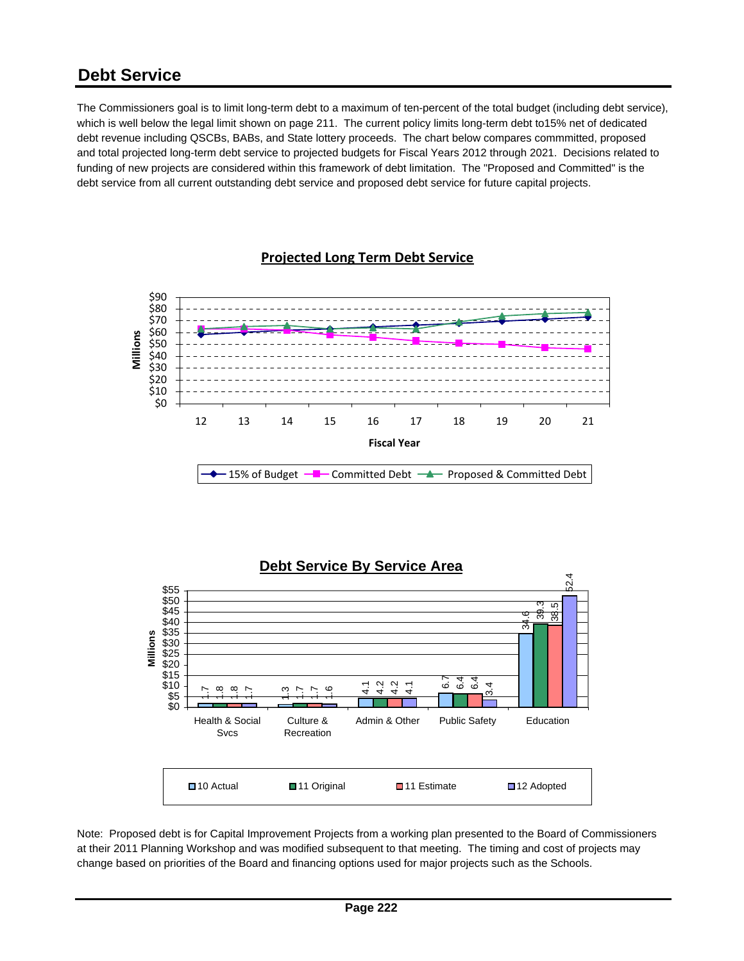### **Debt Service**

The Commissioners goal is to limit long-term debt to a maximum of ten-percent of the total budget (including debt service), which is well below the legal limit shown on page 211. The current policy limits long-term debt to15% net of dedicated debt revenue including QSCBs, BABs, and State lottery proceeds. The chart below compares commmitted, proposed and total projected long-term debt service to projected budgets for Fiscal Years 2012 through 2021. Decisions related to funding of new projects are considered within this framework of debt limitation. The "Proposed and Committed" is the debt service from all current outstanding debt service and proposed debt service for future capital projects.

### **Projected Long Term Debt Service**





Note: Proposed debt is for Capital Improvement Projects from a working plan presented to the Board of Commissioners at their 2011 Planning Workshop and was modified subsequent to that meeting. The timing and cost of projects may change based on priorities of the Board and financing options used for major projects such as the Schools.